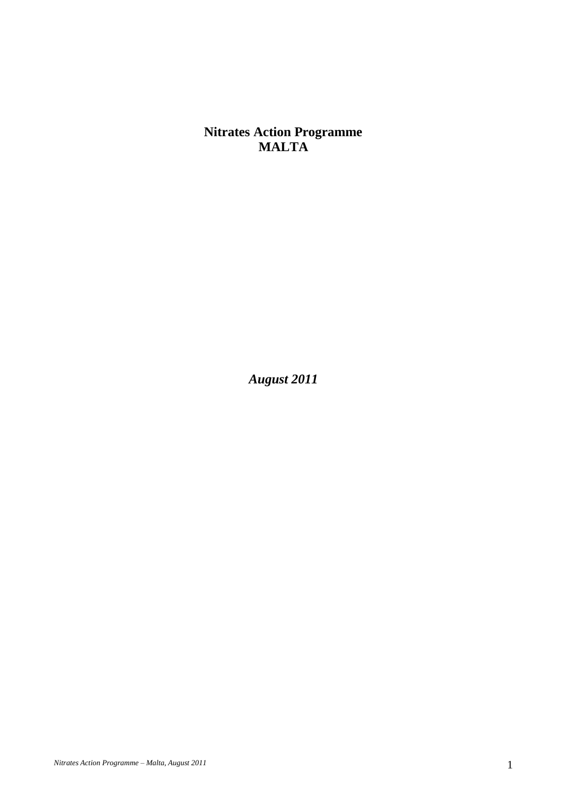**Nitrates Action Programme MALTA**

*August 2011*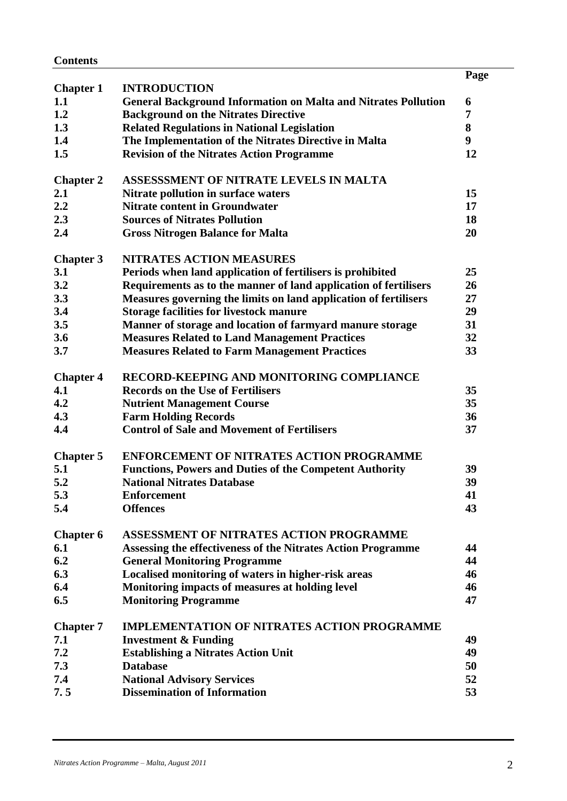| <b>Contents</b> |
|-----------------|
|-----------------|

|                  |                                                                       | Page |
|------------------|-----------------------------------------------------------------------|------|
| <b>Chapter 1</b> | <b>INTRODUCTION</b>                                                   |      |
| 1.1              | <b>General Background Information on Malta and Nitrates Pollution</b> | 6    |
| 1.2              | <b>Background on the Nitrates Directive</b>                           | 7    |
| 1.3              | <b>Related Regulations in National Legislation</b>                    | 8    |
| 1.4              | The Implementation of the Nitrates Directive in Malta                 | 9    |
| 1.5              | <b>Revision of the Nitrates Action Programme</b>                      | 12   |
|                  |                                                                       |      |
| <b>Chapter 2</b> | ASSESSSMENT OF NITRATE LEVELS IN MALTA                                |      |
| 2.1              | Nitrate pollution in surface waters                                   | 15   |
| 2.2              | <b>Nitrate content in Groundwater</b>                                 | 17   |
| 2.3              | <b>Sources of Nitrates Pollution</b>                                  | 18   |
| 2.4              | <b>Gross Nitrogen Balance for Malta</b>                               | 20   |
|                  |                                                                       |      |
| <b>Chapter 3</b> | <b>NITRATES ACTION MEASURES</b>                                       |      |
| 3.1              | Periods when land application of fertilisers is prohibited            | 25   |
| 3.2              | Requirements as to the manner of land application of fertilisers      | 26   |
| 3.3              | Measures governing the limits on land application of fertilisers      | 27   |
| 3.4              | <b>Storage facilities for livestock manure</b>                        | 29   |
| 3.5              | Manner of storage and location of farmyard manure storage             | 31   |
| 3.6              | <b>Measures Related to Land Management Practices</b>                  | 32   |
| 3.7              | <b>Measures Related to Farm Management Practices</b>                  | 33   |
|                  |                                                                       |      |
| <b>Chapter 4</b> | RECORD-KEEPING AND MONITORING COMPLIANCE                              |      |
| 4.1              | <b>Records on the Use of Fertilisers</b>                              | 35   |
| 4.2              | <b>Nutrient Management Course</b>                                     | 35   |
| 4.3              | <b>Farm Holding Records</b>                                           | 36   |
| 4.4              | <b>Control of Sale and Movement of Fertilisers</b>                    | 37   |
|                  |                                                                       |      |
| <b>Chapter 5</b> | <b>ENFORCEMENT OF NITRATES ACTION PROGRAMME</b>                       |      |
| 5.1              | <b>Functions, Powers and Duties of the Competent Authority</b>        | 39   |
| 5.2              | <b>National Nitrates Database</b>                                     | 39   |
| 5.3              | Enforcement                                                           | 41   |
| 5.4              | <b>Offences</b>                                                       | 43   |
|                  |                                                                       |      |
| <b>Chapter 6</b> | ASSESSMENT OF NITRATES ACTION PROGRAMME                               |      |
| 6.1              | Assessing the effectiveness of the Nitrates Action Programme          | 44   |
| 6.2              | <b>General Monitoring Programme</b>                                   | 44   |
| 6.3              | Localised monitoring of waters in higher-risk areas                   | 46   |
| 6.4              | Monitoring impacts of measures at holding level                       | 46   |
| 6.5              | <b>Monitoring Programme</b>                                           | 47   |
|                  |                                                                       |      |
| <b>Chapter 7</b> | <b>IMPLEMENTATION OF NITRATES ACTION PROGRAMME</b>                    |      |
| 7.1              | <b>Investment &amp; Funding</b>                                       | 49   |
| 7.2              | <b>Establishing a Nitrates Action Unit</b>                            | 49   |
| 7.3              | <b>Database</b>                                                       | 50   |
| 7.4              | <b>National Advisory Services</b>                                     | 52   |
| 7.5              | <b>Dissemination of Information</b>                                   | 53   |
|                  |                                                                       |      |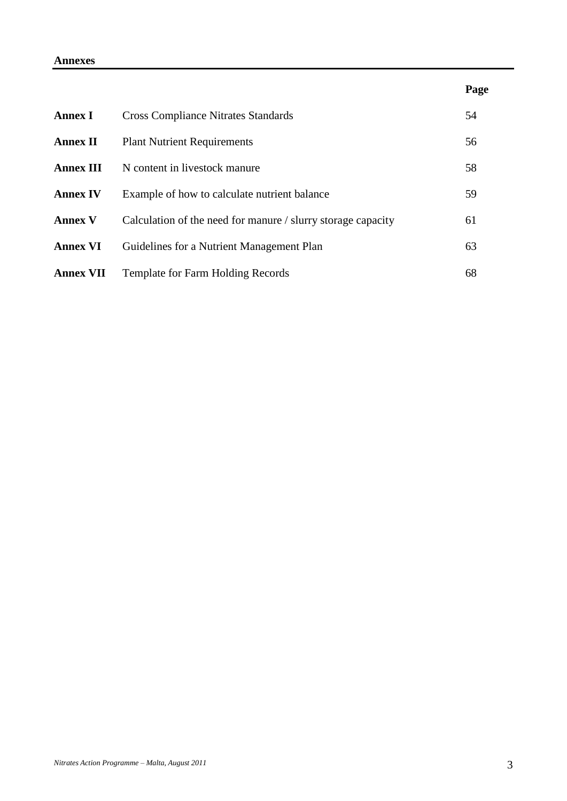### **Annexes**

|                  |                                                              | Page |
|------------------|--------------------------------------------------------------|------|
| <b>Annex I</b>   | <b>Cross Compliance Nitrates Standards</b>                   | 54   |
| <b>Annex II</b>  | <b>Plant Nutrient Requirements</b>                           | 56   |
| <b>Annex III</b> | N content in livestock manure                                | 58   |
| <b>Annex IV</b>  | Example of how to calculate nutrient balance                 | 59   |
| <b>Annex V</b>   | Calculation of the need for manure / slurry storage capacity | 61   |
| <b>Annex VI</b>  | Guidelines for a Nutrient Management Plan                    | 63   |
| <b>Annex VII</b> | <b>Template for Farm Holding Records</b>                     | 68   |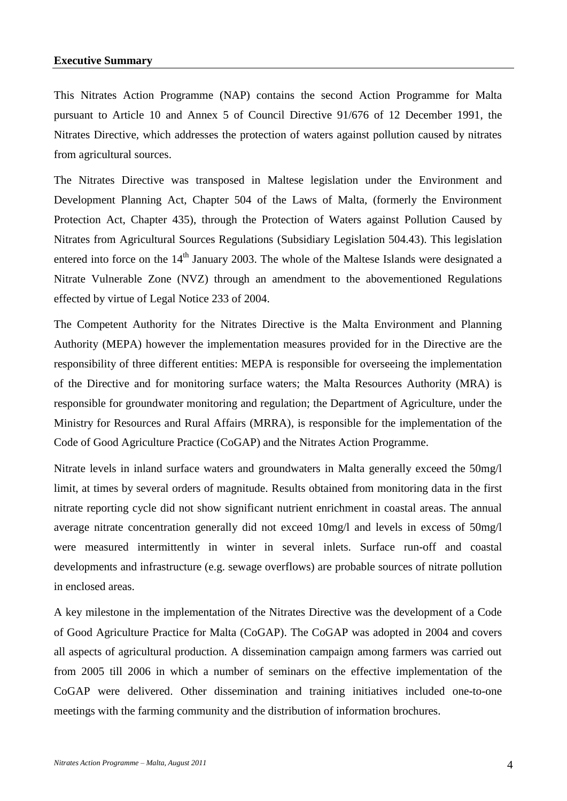#### **Executive Summary**

This Nitrates Action Programme (NAP) contains the second Action Programme for Malta pursuant to Article 10 and Annex 5 of Council Directive 91/676 of 12 December 1991, the Nitrates Directive, which addresses the protection of waters against pollution caused by nitrates from agricultural sources.

The Nitrates Directive was transposed in Maltese legislation under the Environment and Development Planning Act, Chapter 504 of the Laws of Malta, (formerly the Environment Protection Act, Chapter 435), through the Protection of Waters against Pollution Caused by Nitrates from Agricultural Sources Regulations (Subsidiary Legislation 504.43). This legislation entered into force on the 14<sup>th</sup> January 2003. The whole of the Maltese Islands were designated a Nitrate Vulnerable Zone (NVZ) through an amendment to the abovementioned Regulations effected by virtue of Legal Notice 233 of 2004.

The Competent Authority for the Nitrates Directive is the Malta Environment and Planning Authority (MEPA) however the implementation measures provided for in the Directive are the responsibility of three different entities: MEPA is responsible for overseeing the implementation of the Directive and for monitoring surface waters; the Malta Resources Authority (MRA) is responsible for groundwater monitoring and regulation; the Department of Agriculture, under the Ministry for Resources and Rural Affairs (MRRA), is responsible for the implementation of the Code of Good Agriculture Practice (CoGAP) and the Nitrates Action Programme.

Nitrate levels in inland surface waters and groundwaters in Malta generally exceed the 50mg/l limit, at times by several orders of magnitude. Results obtained from monitoring data in the first nitrate reporting cycle did not show significant nutrient enrichment in coastal areas. The annual average nitrate concentration generally did not exceed 10mg/l and levels in excess of 50mg/l were measured intermittently in winter in several inlets. Surface run-off and coastal developments and infrastructure (e.g. sewage overflows) are probable sources of nitrate pollution in enclosed areas.

A key milestone in the implementation of the Nitrates Directive was the development of a Code of Good Agriculture Practice for Malta (CoGAP). The CoGAP was adopted in 2004 and covers all aspects of agricultural production. A dissemination campaign among farmers was carried out from 2005 till 2006 in which a number of seminars on the effective implementation of the CoGAP were delivered. Other dissemination and training initiatives included one-to-one meetings with the farming community and the distribution of information brochures.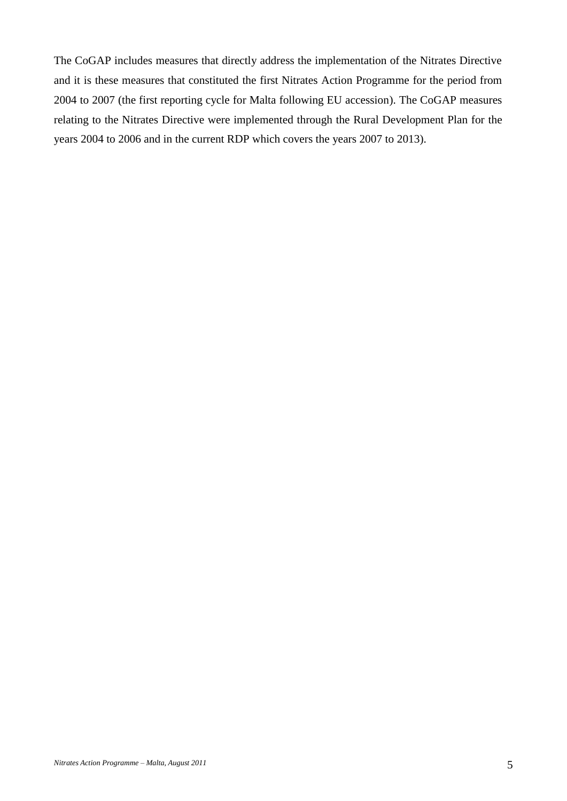The CoGAP includes measures that directly address the implementation of the Nitrates Directive and it is these measures that constituted the first Nitrates Action Programme for the period from 2004 to 2007 (the first reporting cycle for Malta following EU accession). The CoGAP measures relating to the Nitrates Directive were implemented through the Rural Development Plan for the years 2004 to 2006 and in the current RDP which covers the years 2007 to 2013).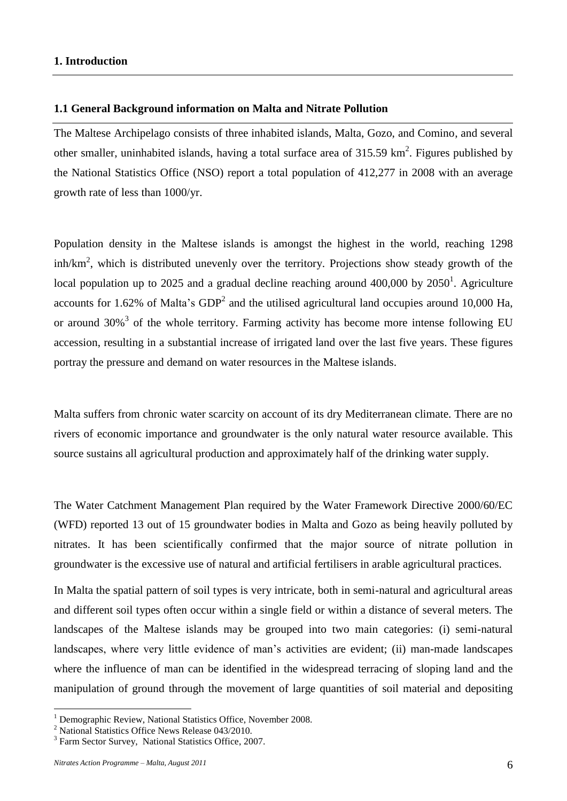### **1.1 General Background information on Malta and Nitrate Pollution**

The Maltese Archipelago consists of three inhabited islands, Malta, Gozo, and Comino, and several other smaller, uninhabited islands, having a total surface area of  $315.59 \text{ km}^2$ . Figures published by the National Statistics Office (NSO) report a total population of 412,277 in 2008 with an average growth rate of less than 1000/yr.

Population density in the Maltese islands is amongst the highest in the world, reaching 1298  $\sinh/km^2$ , which is distributed unevenly over the territory. Projections show steady growth of the local population up to 2025 and a gradual decline reaching around  $400,000$  by  $2050<sup>1</sup>$ . Agriculture accounts for 1.62% of Malta's  $GDP<sup>2</sup>$  and the utilised agricultural land occupies around 10,000 Ha, or around  $30\%$ <sup>3</sup> of the whole territory. Farming activity has become more intense following EU accession, resulting in a substantial increase of irrigated land over the last five years. These figures portray the pressure and demand on water resources in the Maltese islands.

Malta suffers from chronic water scarcity on account of its dry Mediterranean climate. There are no rivers of economic importance and groundwater is the only natural water resource available. This source sustains all agricultural production and approximately half of the drinking water supply.

The Water Catchment Management Plan required by the Water Framework Directive 2000/60/EC (WFD) reported 13 out of 15 groundwater bodies in Malta and Gozo as being heavily polluted by nitrates. It has been scientifically confirmed that the major source of nitrate pollution in groundwater is the excessive use of natural and artificial fertilisers in arable agricultural practices.

In Malta the spatial pattern of soil types is very intricate, both in semi-natural and agricultural areas and different soil types often occur within a single field or within a distance of several meters. The landscapes of the Maltese islands may be grouped into two main categories: (i) semi-natural landscapes, where very little evidence of man's activities are evident; (ii) man-made landscapes where the influence of man can be identified in the widespread terracing of sloping land and the manipulation of ground through the movement of large quantities of soil material and depositing

<u>.</u>

<sup>&</sup>lt;sup>1</sup> Demographic Review, National Statistics Office, November 2008.

<sup>2</sup> National Statistics Office News Release 043/2010.

<sup>&</sup>lt;sup>3</sup> Farm Sector Survey, National Statistics Office, 2007.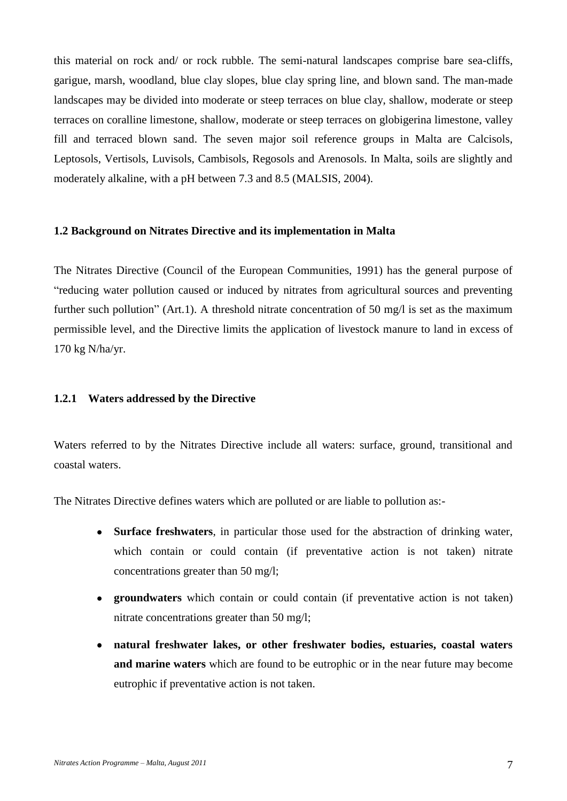this material on rock and/ or rock rubble. The semi-natural landscapes comprise bare sea-cliffs, garigue, marsh, woodland, blue clay slopes, blue clay spring line, and blown sand. The man-made landscapes may be divided into moderate or steep terraces on blue clay, shallow, moderate or steep terraces on coralline limestone, shallow, moderate or steep terraces on globigerina limestone, valley fill and terraced blown sand. The seven major soil reference groups in Malta are Calcisols, Leptosols, Vertisols, Luvisols, Cambisols, Regosols and Arenosols. In Malta, soils are slightly and moderately alkaline, with a pH between 7.3 and 8.5 (MALSIS, 2004).

#### **1.2 Background on Nitrates Directive and its implementation in Malta**

The Nitrates Directive (Council of the European Communities, 1991) has the general purpose of "reducing water pollution caused or induced by nitrates from agricultural sources and preventing further such pollution" (Art.1). A threshold nitrate concentration of 50 mg/l is set as the maximum permissible level, and the Directive limits the application of livestock manure to land in excess of 170 kg N/ha/yr.

### **1.2.1 Waters addressed by the Directive**

Waters referred to by the Nitrates Directive include all waters: surface, ground, transitional and coastal waters.

The Nitrates Directive defines waters which are polluted or are liable to pollution as:-

- **Surface freshwaters**, in particular those used for the abstraction of drinking water, which contain or could contain (if preventative action is not taken) nitrate concentrations greater than 50 mg/l;
- **groundwaters** which contain or could contain (if preventative action is not taken) nitrate concentrations greater than 50 mg/l;
- **natural freshwater lakes, or other freshwater bodies, estuaries, coastal waters and marine waters** which are found to be eutrophic or in the near future may become eutrophic if preventative action is not taken.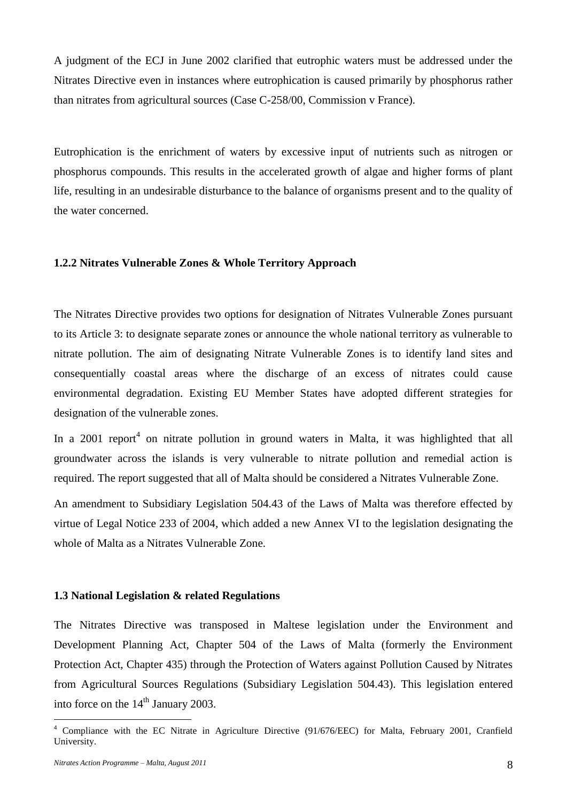A judgment of the ECJ in June 2002 clarified that eutrophic waters must be addressed under the Nitrates Directive even in instances where eutrophication is caused primarily by phosphorus rather than nitrates from agricultural sources (Case C-258/00, Commission v France).

Eutrophication is the enrichment of waters by excessive input of nutrients such as nitrogen or phosphorus compounds. This results in the accelerated growth of algae and higher forms of plant life, resulting in an undesirable disturbance to the balance of organisms present and to the quality of the water concerned.

### **1.2.2 Nitrates Vulnerable Zones & Whole Territory Approach**

The Nitrates Directive provides two options for designation of Nitrates Vulnerable Zones pursuant to its Article 3: to designate separate zones or announce the whole national territory as vulnerable to nitrate pollution. The aim of designating Nitrate Vulnerable Zones is to identify land sites and consequentially coastal areas where the discharge of an excess of nitrates could cause environmental degradation. Existing EU Member States have adopted different strategies for designation of the vulnerable zones.

In a 2001 report<sup>4</sup> on nitrate pollution in ground waters in Malta, it was highlighted that all groundwater across the islands is very vulnerable to nitrate pollution and remedial action is required. The report suggested that all of Malta should be considered a Nitrates Vulnerable Zone.

An amendment to Subsidiary Legislation 504.43 of the Laws of Malta was therefore effected by virtue of Legal Notice 233 of 2004, which added a new Annex VI to the legislation designating the whole of Malta as a Nitrates Vulnerable Zone.

#### **1.3 National Legislation & related Regulations**

The Nitrates Directive was transposed in Maltese legislation under the Environment and Development Planning Act, Chapter 504 of the Laws of Malta (formerly the Environment Protection Act, Chapter 435) through the Protection of Waters against Pollution Caused by Nitrates from Agricultural Sources Regulations (Subsidiary Legislation 504.43). This legislation entered into force on the  $14<sup>th</sup>$  January 2003.

1

<sup>&</sup>lt;sup>4</sup> Compliance with the EC Nitrate in Agriculture Directive (91/676/EEC) for Malta, February 2001, Cranfield University.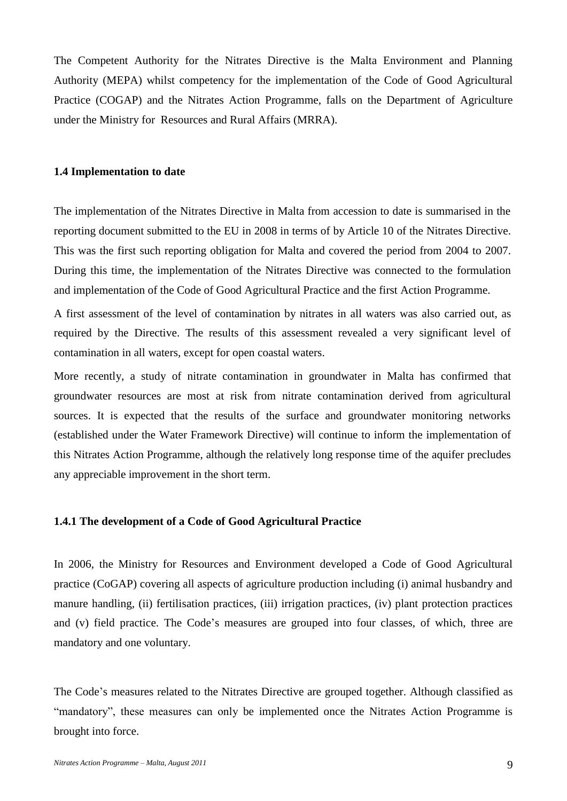The Competent Authority for the Nitrates Directive is the Malta Environment and Planning Authority (MEPA) whilst competency for the implementation of the Code of Good Agricultural Practice (COGAP) and the Nitrates Action Programme, falls on the Department of Agriculture under the Ministry for Resources and Rural Affairs (MRRA).

### **1.4 Implementation to date**

The implementation of the Nitrates Directive in Malta from accession to date is summarised in the reporting document submitted to the EU in 2008 in terms of by Article 10 of the Nitrates Directive. This was the first such reporting obligation for Malta and covered the period from 2004 to 2007. During this time, the implementation of the Nitrates Directive was connected to the formulation and implementation of the Code of Good Agricultural Practice and the first Action Programme.

A first assessment of the level of contamination by nitrates in all waters was also carried out, as required by the Directive. The results of this assessment revealed a very significant level of contamination in all waters, except for open coastal waters.

More recently, a study of nitrate contamination in groundwater in Malta has confirmed that groundwater resources are most at risk from nitrate contamination derived from agricultural sources. It is expected that the results of the surface and groundwater monitoring networks (established under the Water Framework Directive) will continue to inform the implementation of this Nitrates Action Programme, although the relatively long response time of the aquifer precludes any appreciable improvement in the short term.

#### **1.4.1 The development of a Code of Good Agricultural Practice**

In 2006, the Ministry for Resources and Environment developed a Code of Good Agricultural practice (CoGAP) covering all aspects of agriculture production including (i) animal husbandry and manure handling, (ii) fertilisation practices, (iii) irrigation practices, (iv) plant protection practices and (v) field practice. The Code's measures are grouped into four classes, of which, three are mandatory and one voluntary.

The Code's measures related to the Nitrates Directive are grouped together. Although classified as "mandatory", these measures can only be implemented once the Nitrates Action Programme is brought into force.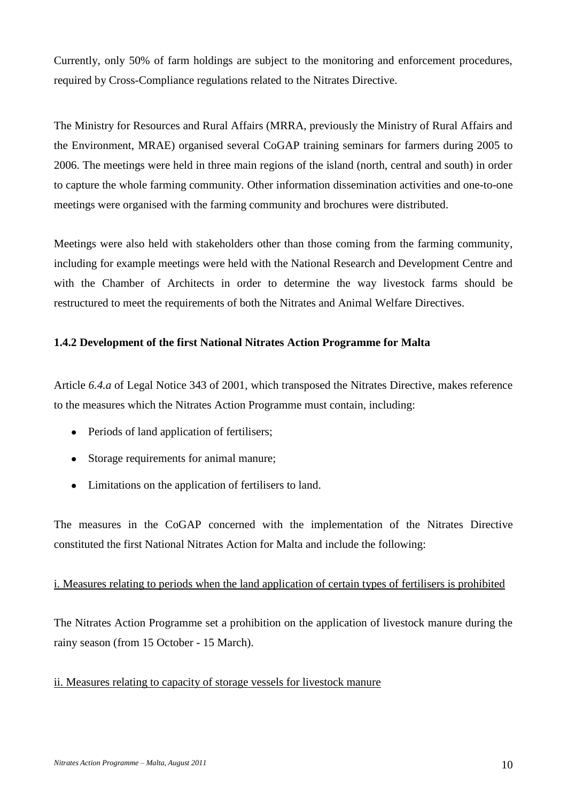Currently, only 50% of farm holdings are subject to the monitoring and enforcement procedures, required by Cross-Compliance regulations related to the Nitrates Directive.

The Ministry for Resources and Rural Affairs (MRRA, previously the Ministry of Rural Affairs and the Environment, MRAE) organised several CoGAP training seminars for farmers during 2005 to 2006. The meetings were held in three main regions of the island (north, central and south) in order to capture the whole farming community. Other information dissemination activities and one-to-one meetings were organised with the farming community and brochures were distributed.

Meetings were also held with stakeholders other than those coming from the farming community, including for example meetings were held with the National Research and Development Centre and with the Chamber of Architects in order to determine the way livestock farms should be restructured to meet the requirements of both the Nitrates and Animal Welfare Directives.

# **1.4.2 Development of the first National Nitrates Action Programme for Malta**

Article *6.4.a* of Legal Notice 343 of 2001, which transposed the Nitrates Directive, makes reference to the measures which the Nitrates Action Programme must contain, including:

- Periods of land application of fertilisers;
- Storage requirements for animal manure;
- Limitations on the application of fertilisers to land.

The measures in the CoGAP concerned with the implementation of the Nitrates Directive constituted the first National Nitrates Action for Malta and include the following:

# i. Measures relating to periods when the land application of certain types of fertilisers is prohibited

The Nitrates Action Programme set a prohibition on the application of livestock manure during the rainy season (from 15 October - 15 March).

ii. Measures relating to capacity of storage vessels for livestock manure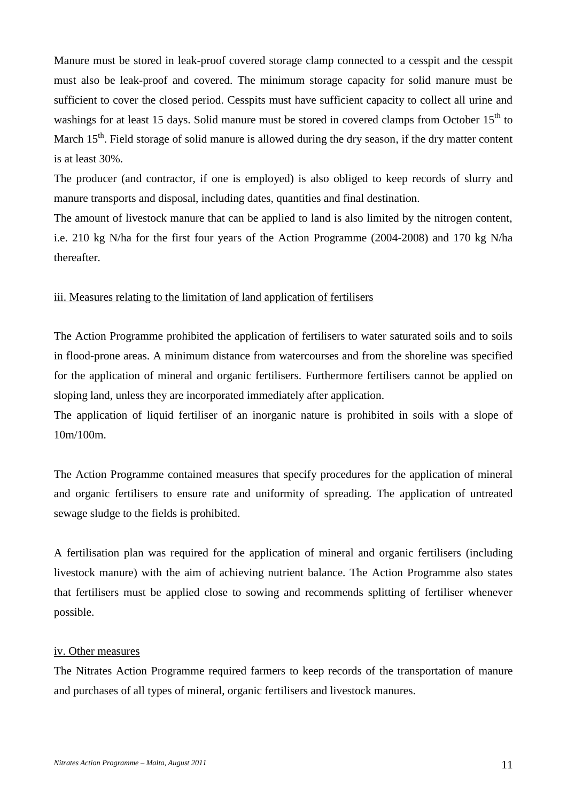Manure must be stored in leak-proof covered storage clamp connected to a cesspit and the cesspit must also be leak-proof and covered. The minimum storage capacity for solid manure must be sufficient to cover the closed period. Cesspits must have sufficient capacity to collect all urine and washings for at least 15 days. Solid manure must be stored in covered clamps from October  $15<sup>th</sup>$  to March 15<sup>th</sup>. Field storage of solid manure is allowed during the dry season, if the dry matter content is at least 30%.

The producer (and contractor, if one is employed) is also obliged to keep records of slurry and manure transports and disposal, including dates, quantities and final destination.

The amount of livestock manure that can be applied to land is also limited by the nitrogen content, i.e. 210 kg N/ha for the first four years of the Action Programme (2004-2008) and 170 kg N/ha thereafter.

### iii. Measures relating to the limitation of land application of fertilisers

The Action Programme prohibited the application of fertilisers to water saturated soils and to soils in flood-prone areas. A minimum distance from watercourses and from the shoreline was specified for the application of mineral and organic fertilisers. Furthermore fertilisers cannot be applied on sloping land, unless they are incorporated immediately after application.

The application of liquid fertiliser of an inorganic nature is prohibited in soils with a slope of 10m/100m.

The Action Programme contained measures that specify procedures for the application of mineral and organic fertilisers to ensure rate and uniformity of spreading. The application of untreated sewage sludge to the fields is prohibited.

A fertilisation plan was required for the application of mineral and organic fertilisers (including livestock manure) with the aim of achieving nutrient balance. The Action Programme also states that fertilisers must be applied close to sowing and recommends splitting of fertiliser whenever possible.

### iv. Other measures

The Nitrates Action Programme required farmers to keep records of the transportation of manure and purchases of all types of mineral, organic fertilisers and livestock manures.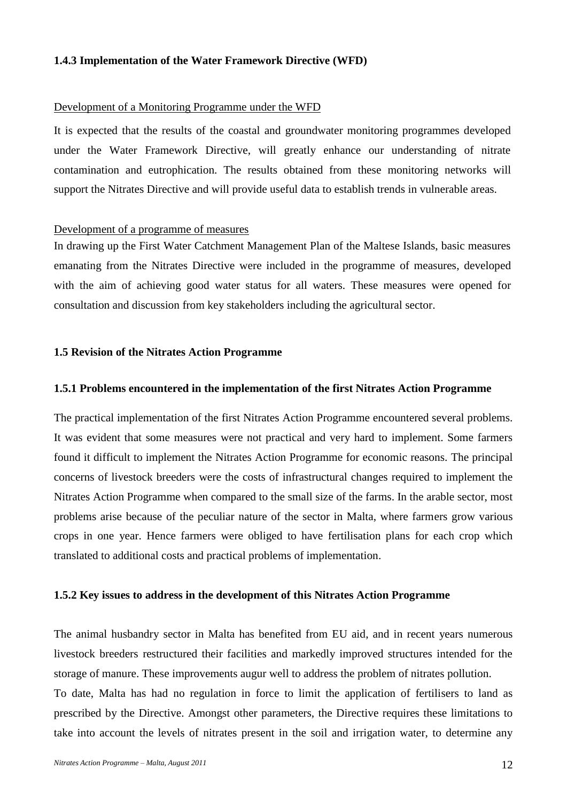### **1.4.3 Implementation of the Water Framework Directive (WFD)**

#### Development of a Monitoring Programme under the WFD

It is expected that the results of the coastal and groundwater monitoring programmes developed under the Water Framework Directive, will greatly enhance our understanding of nitrate contamination and eutrophication. The results obtained from these monitoring networks will support the Nitrates Directive and will provide useful data to establish trends in vulnerable areas.

### Development of a programme of measures

In drawing up the First Water Catchment Management Plan of the Maltese Islands, basic measures emanating from the Nitrates Directive were included in the programme of measures, developed with the aim of achieving good water status for all waters. These measures were opened for consultation and discussion from key stakeholders including the agricultural sector.

### **1.5 Revision of the Nitrates Action Programme**

#### **1.5.1 Problems encountered in the implementation of the first Nitrates Action Programme**

The practical implementation of the first Nitrates Action Programme encountered several problems. It was evident that some measures were not practical and very hard to implement. Some farmers found it difficult to implement the Nitrates Action Programme for economic reasons. The principal concerns of livestock breeders were the costs of infrastructural changes required to implement the Nitrates Action Programme when compared to the small size of the farms. In the arable sector, most problems arise because of the peculiar nature of the sector in Malta, where farmers grow various crops in one year. Hence farmers were obliged to have fertilisation plans for each crop which translated to additional costs and practical problems of implementation.

#### **1.5.2 Key issues to address in the development of this Nitrates Action Programme**

The animal husbandry sector in Malta has benefited from EU aid, and in recent years numerous livestock breeders restructured their facilities and markedly improved structures intended for the storage of manure. These improvements augur well to address the problem of nitrates pollution. To date, Malta has had no regulation in force to limit the application of fertilisers to land as prescribed by the Directive. Amongst other parameters, the Directive requires these limitations to take into account the levels of nitrates present in the soil and irrigation water, to determine any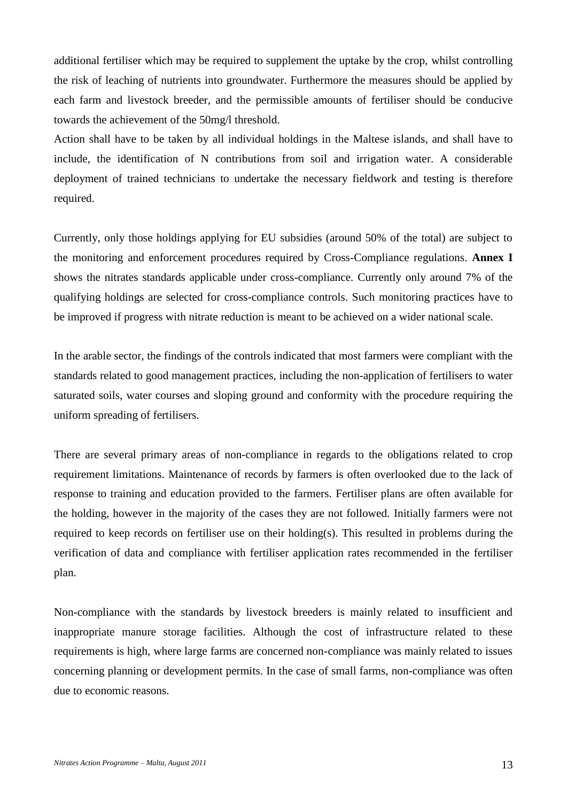additional fertiliser which may be required to supplement the uptake by the crop, whilst controlling the risk of leaching of nutrients into groundwater. Furthermore the measures should be applied by each farm and livestock breeder, and the permissible amounts of fertiliser should be conducive towards the achievement of the 50mg/l threshold.

Action shall have to be taken by all individual holdings in the Maltese islands, and shall have to include, the identification of N contributions from soil and irrigation water. A considerable deployment of trained technicians to undertake the necessary fieldwork and testing is therefore required.

Currently, only those holdings applying for EU subsidies (around 50% of the total) are subject to the monitoring and enforcement procedures required by Cross-Compliance regulations. **Annex I** shows the nitrates standards applicable under cross-compliance. Currently only around 7% of the qualifying holdings are selected for cross-compliance controls. Such monitoring practices have to be improved if progress with nitrate reduction is meant to be achieved on a wider national scale.

In the arable sector, the findings of the controls indicated that most farmers were compliant with the standards related to good management practices, including the non-application of fertilisers to water saturated soils, water courses and sloping ground and conformity with the procedure requiring the uniform spreading of fertilisers.

There are several primary areas of non-compliance in regards to the obligations related to crop requirement limitations. Maintenance of records by farmers is often overlooked due to the lack of response to training and education provided to the farmers. Fertiliser plans are often available for the holding, however in the majority of the cases they are not followed. Initially farmers were not required to keep records on fertiliser use on their holding(s). This resulted in problems during the verification of data and compliance with fertiliser application rates recommended in the fertiliser plan.

Non-compliance with the standards by livestock breeders is mainly related to insufficient and inappropriate manure storage facilities. Although the cost of infrastructure related to these requirements is high, where large farms are concerned non-compliance was mainly related to issues concerning planning or development permits. In the case of small farms, non-compliance was often due to economic reasons.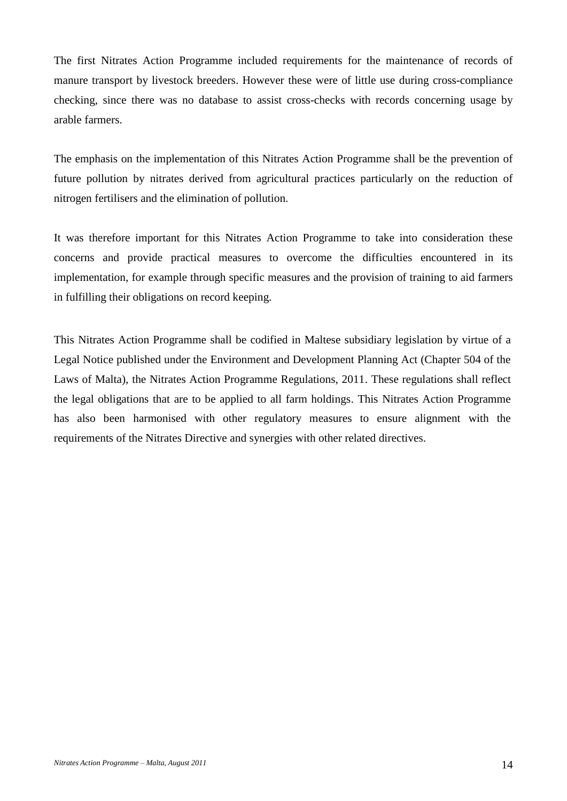The first Nitrates Action Programme included requirements for the maintenance of records of manure transport by livestock breeders. However these were of little use during cross-compliance checking, since there was no database to assist cross-checks with records concerning usage by arable farmers.

The emphasis on the implementation of this Nitrates Action Programme shall be the prevention of future pollution by nitrates derived from agricultural practices particularly on the reduction of nitrogen fertilisers and the elimination of pollution.

It was therefore important for this Nitrates Action Programme to take into consideration these concerns and provide practical measures to overcome the difficulties encountered in its implementation, for example through specific measures and the provision of training to aid farmers in fulfilling their obligations on record keeping.

This Nitrates Action Programme shall be codified in Maltese subsidiary legislation by virtue of a Legal Notice published under the Environment and Development Planning Act (Chapter 504 of the Laws of Malta), the Nitrates Action Programme Regulations, 2011. These regulations shall reflect the legal obligations that are to be applied to all farm holdings. This Nitrates Action Programme has also been harmonised with other regulatory measures to ensure alignment with the requirements of the Nitrates Directive and synergies with other related directives.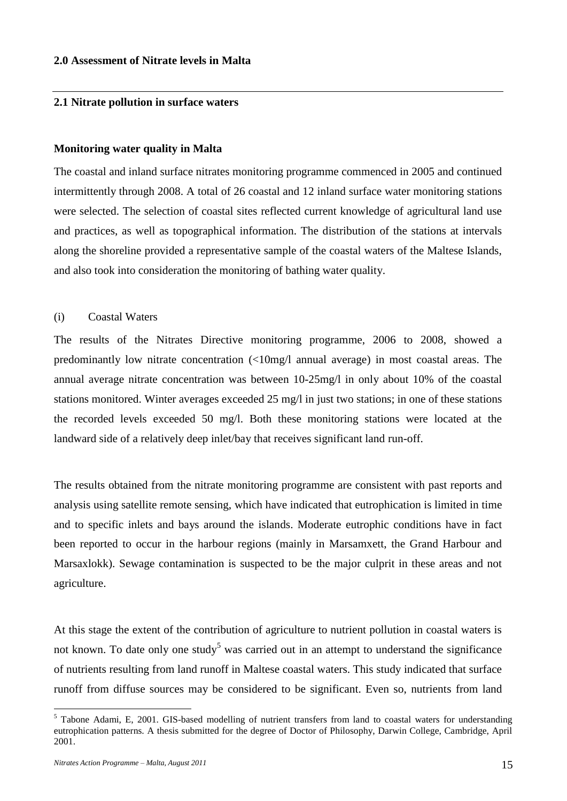### **2.0 Assessment of Nitrate levels in Malta**

### **2.1 Nitrate pollution in surface waters**

#### **Monitoring water quality in Malta**

The coastal and inland surface nitrates monitoring programme commenced in 2005 and continued intermittently through 2008. A total of 26 coastal and 12 inland surface water monitoring stations were selected. The selection of coastal sites reflected current knowledge of agricultural land use and practices, as well as topographical information. The distribution of the stations at intervals along the shoreline provided a representative sample of the coastal waters of the Maltese Islands, and also took into consideration the monitoring of bathing water quality.

#### (i) Coastal Waters

The results of the Nitrates Directive monitoring programme, 2006 to 2008, showed a predominantly low nitrate concentration (<10mg/l annual average) in most coastal areas. The annual average nitrate concentration was between 10-25mg/l in only about 10% of the coastal stations monitored. Winter averages exceeded 25 mg/l in just two stations; in one of these stations the recorded levels exceeded 50 mg/l. Both these monitoring stations were located at the landward side of a relatively deep inlet/bay that receives significant land run-off.

The results obtained from the nitrate monitoring programme are consistent with past reports and analysis using satellite remote sensing, which have indicated that eutrophication is limited in time and to specific inlets and bays around the islands. Moderate eutrophic conditions have in fact been reported to occur in the harbour regions (mainly in Marsamxett, the Grand Harbour and Marsaxlokk). Sewage contamination is suspected to be the major culprit in these areas and not agriculture.

At this stage the extent of the contribution of agriculture to nutrient pollution in coastal waters is not known. To date only one study<sup>5</sup> was carried out in an attempt to understand the significance of nutrients resulting from land runoff in Maltese coastal waters. This study indicated that surface runoff from diffuse sources may be considered to be significant. Even so, nutrients from land

<u>.</u>

<sup>&</sup>lt;sup>5</sup> Tabone Adami, E, 2001. GIS-based modelling of nutrient transfers from land to coastal waters for understanding eutrophication patterns. A thesis submitted for the degree of Doctor of Philosophy, Darwin College, Cambridge, April 2001.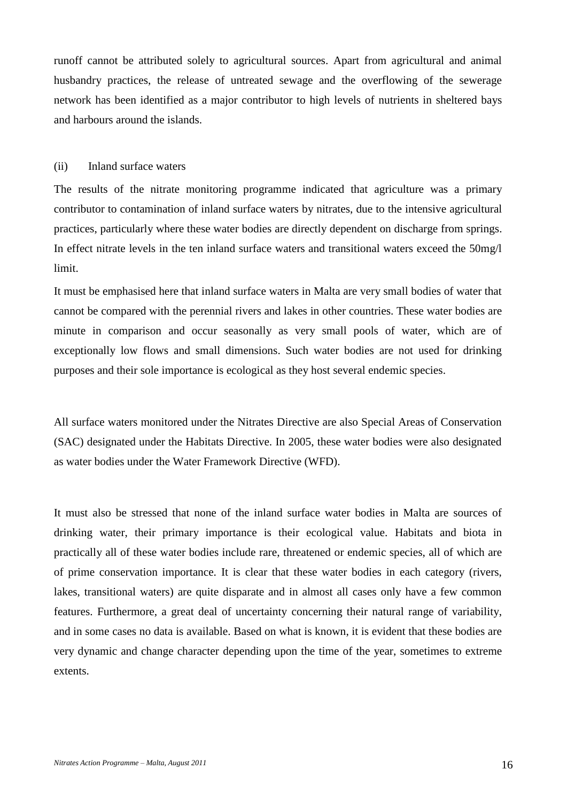runoff cannot be attributed solely to agricultural sources. Apart from agricultural and animal husbandry practices, the release of untreated sewage and the overflowing of the sewerage network has been identified as a major contributor to high levels of nutrients in sheltered bays and harbours around the islands.

#### (ii) Inland surface waters

The results of the nitrate monitoring programme indicated that agriculture was a primary contributor to contamination of inland surface waters by nitrates, due to the intensive agricultural practices, particularly where these water bodies are directly dependent on discharge from springs. In effect nitrate levels in the ten inland surface waters and transitional waters exceed the 50mg/l limit.

It must be emphasised here that inland surface waters in Malta are very small bodies of water that cannot be compared with the perennial rivers and lakes in other countries. These water bodies are minute in comparison and occur seasonally as very small pools of water, which are of exceptionally low flows and small dimensions. Such water bodies are not used for drinking purposes and their sole importance is ecological as they host several endemic species.

All surface waters monitored under the Nitrates Directive are also Special Areas of Conservation (SAC) designated under the Habitats Directive. In 2005, these water bodies were also designated as water bodies under the Water Framework Directive (WFD).

It must also be stressed that none of the inland surface water bodies in Malta are sources of drinking water, their primary importance is their ecological value. Habitats and biota in practically all of these water bodies include rare, threatened or endemic species, all of which are of prime conservation importance. It is clear that these water bodies in each category (rivers, lakes, transitional waters) are quite disparate and in almost all cases only have a few common features. Furthermore, a great deal of uncertainty concerning their natural range of variability, and in some cases no data is available. Based on what is known, it is evident that these bodies are very dynamic and change character depending upon the time of the year, sometimes to extreme extents.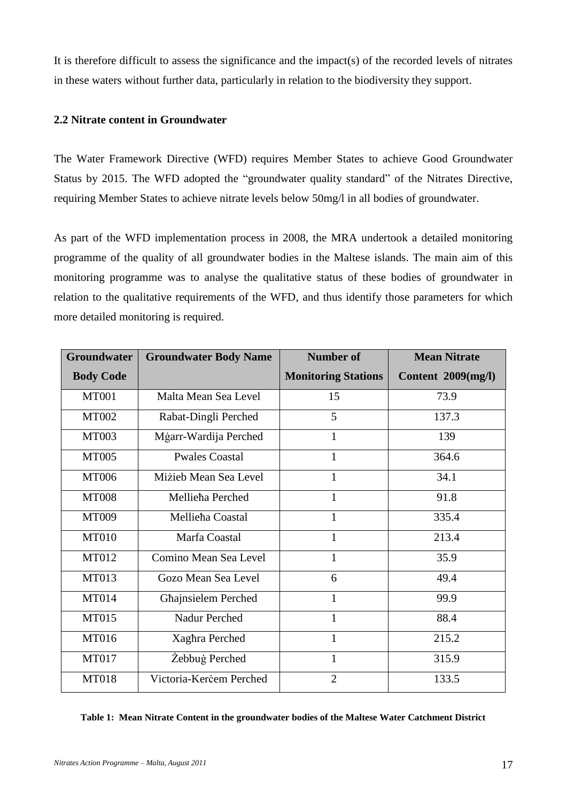It is therefore difficult to assess the significance and the impact(s) of the recorded levels of nitrates in these waters without further data, particularly in relation to the biodiversity they support.

### **2.2 Nitrate content in Groundwater**

The Water Framework Directive (WFD) requires Member States to achieve Good Groundwater Status by 2015. The WFD adopted the "groundwater quality standard" of the Nitrates Directive, requiring Member States to achieve nitrate levels below 50mg/l in all bodies of groundwater.

As part of the WFD implementation process in 2008, the MRA undertook a detailed monitoring programme of the quality of all groundwater bodies in the Maltese islands. The main aim of this monitoring programme was to analyse the qualitative status of these bodies of groundwater in relation to the qualitative requirements of the WFD, and thus identify those parameters for which more detailed monitoring is required.

| <b>Groundwater</b> | <b>Groundwater Body Name</b> | <b>Number of</b>           | <b>Mean Nitrate</b> |
|--------------------|------------------------------|----------------------------|---------------------|
| <b>Body Code</b>   |                              | <b>Monitoring Stations</b> | Content 2009(mg/l)  |
| <b>MT001</b>       | Malta Mean Sea Level         | 15                         | 73.9                |
| <b>MT002</b>       | Rabat-Dingli Perched         | 5                          | 137.3               |
| <b>MT003</b>       | Mġarr-Wardija Perched        | $\mathbf{1}$               | 139                 |
| <b>MT005</b>       | <b>Pwales Coastal</b>        | 1                          | 364.6               |
| <b>MT006</b>       | Mizieb Mean Sea Level        | 1                          | 34.1                |
| <b>MT008</b>       | Mellieha Perched             | 1                          | 91.8                |
| <b>MT009</b>       | Mellieha Coastal             | $\mathbf{1}$               | 335.4               |
| <b>MT010</b>       | Marfa Coastal                | $\mathbf{1}$               | 213.4               |
| MT012              | Comino Mean Sea Level        | 1                          | 35.9                |
| MT013              | Gozo Mean Sea Level          | 6                          | 49.4                |
| <b>MT014</b>       | Ghajnsielem Perched          | $\mathbf{1}$               | 99.9                |
| <b>MT015</b>       | Nadur Perched                | $\mathbf{1}$               | 88.4                |
| MT016              | Xaghra Perched               | 1                          | 215.2               |
| <b>MT017</b>       | Żebbuġ Perched               | 1                          | 315.9               |
| <b>MT018</b>       | Victoria-Kercem Perched      | $\overline{2}$             | 133.5               |

#### **Table 1: Mean Nitrate Content in the groundwater bodies of the Maltese Water Catchment District**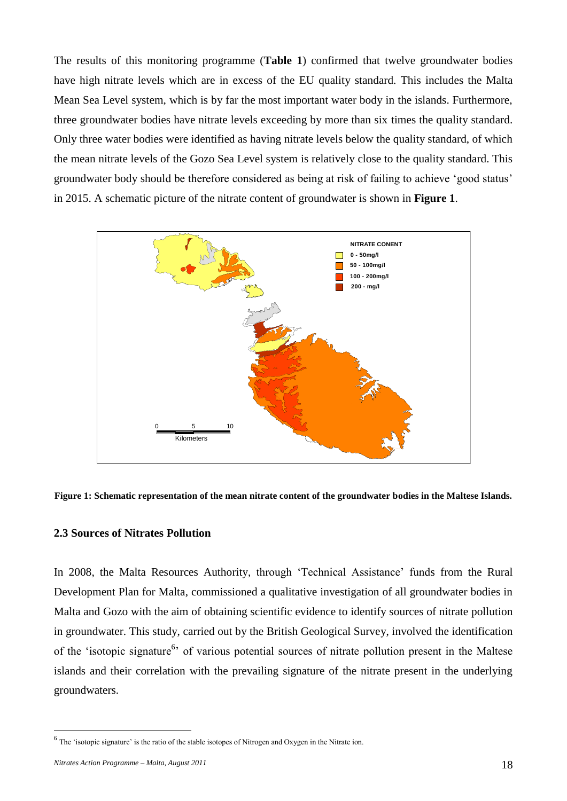The results of this monitoring programme (**Table 1**) confirmed that twelve groundwater bodies have high nitrate levels which are in excess of the EU quality standard. This includes the Malta Mean Sea Level system, which is by far the most important water body in the islands. Furthermore, three groundwater bodies have nitrate levels exceeding by more than six times the quality standard. Only three water bodies were identified as having nitrate levels below the quality standard, of which the mean nitrate levels of the Gozo Sea Level system is relatively close to the quality standard. This groundwater body should be therefore considered as being at risk of failing to achieve 'good status' in 2015. A schematic picture of the nitrate content of groundwater is shown in **Figure 1**.





#### **2.3 Sources of Nitrates Pollution**

In 2008, the Malta Resources Authority, through 'Technical Assistance' funds from the Rural Development Plan for Malta, commissioned a qualitative investigation of all groundwater bodies in Malta and Gozo with the aim of obtaining scientific evidence to identify sources of nitrate pollution in groundwater. This study, carried out by the British Geological Survey, involved the identification of the 'isotopic signature<sup>6</sup>' of various potential sources of nitrate pollution present in the Maltese islands and their correlation with the prevailing signature of the nitrate present in the underlying groundwaters.

1

 $<sup>6</sup>$  The 'isotopic signature' is the ratio of the stable isotopes of Nitrogen and Oxygen in the Nitrate ion.</sup>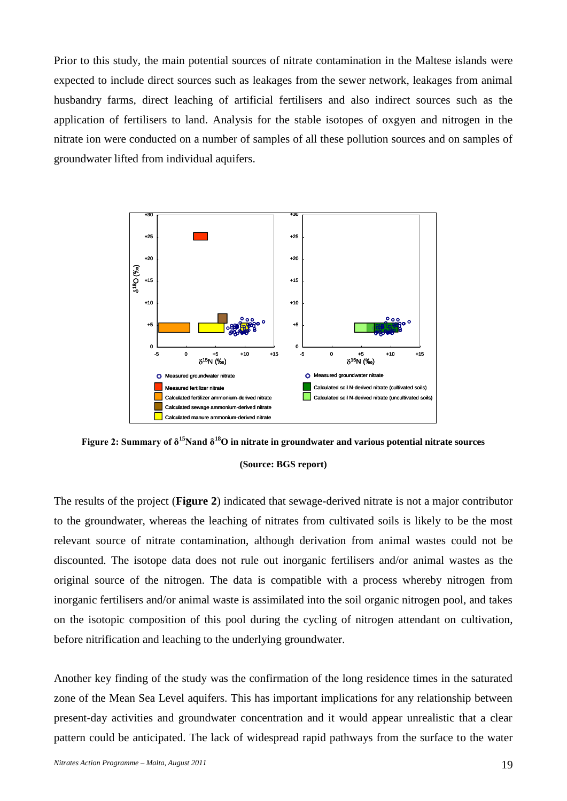Prior to this study, the main potential sources of nitrate contamination in the Maltese islands were expected to include direct sources such as leakages from the sewer network, leakages from animal husbandry farms, direct leaching of artificial fertilisers and also indirect sources such as the application of fertilisers to land. Analysis for the stable isotopes of oxgyen and nitrogen in the nitrate ion were conducted on a number of samples of all these pollution sources and on samples of groundwater lifted from individual aquifers.



**Figure 2: Summary of δ<sup>15</sup>Nand δ<sup>18</sup>O in nitrate in groundwater and various potential nitrate sources**

### **(Source: BGS report)**

The results of the project (**Figure 2**) indicated that sewage-derived nitrate is not a major contributor to the groundwater, whereas the leaching of nitrates from cultivated soils is likely to be the most relevant source of nitrate contamination, although derivation from animal wastes could not be discounted. The isotope data does not rule out inorganic fertilisers and/or animal wastes as the original source of the nitrogen. The data is compatible with a process whereby nitrogen from inorganic fertilisers and/or animal waste is assimilated into the soil organic nitrogen pool, and takes on the isotopic composition of this pool during the cycling of nitrogen attendant on cultivation, before nitrification and leaching to the underlying groundwater.

Another key finding of the study was the confirmation of the long residence times in the saturated zone of the Mean Sea Level aquifers. This has important implications for any relationship between present-day activities and groundwater concentration and it would appear unrealistic that a clear pattern could be anticipated. The lack of widespread rapid pathways from the surface to the water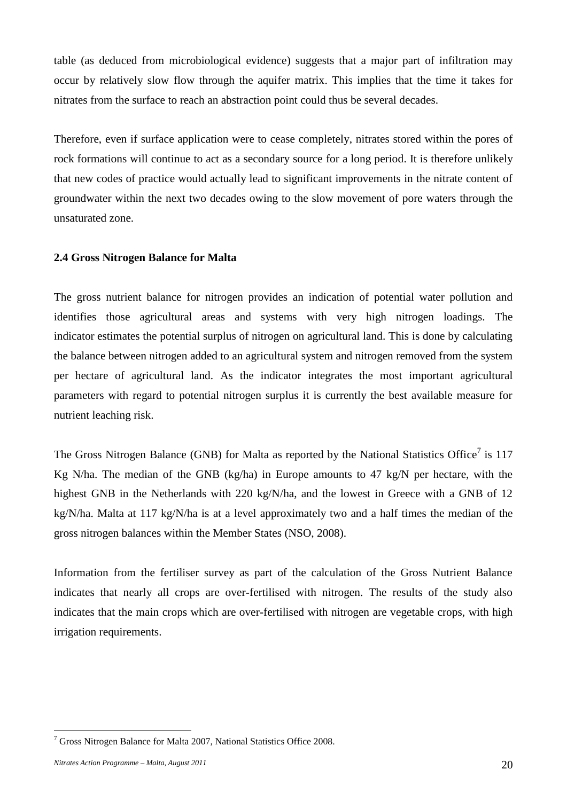table (as deduced from microbiological evidence) suggests that a major part of infiltration may occur by relatively slow flow through the aquifer matrix. This implies that the time it takes for nitrates from the surface to reach an abstraction point could thus be several decades.

Therefore, even if surface application were to cease completely, nitrates stored within the pores of rock formations will continue to act as a secondary source for a long period. It is therefore unlikely that new codes of practice would actually lead to significant improvements in the nitrate content of groundwater within the next two decades owing to the slow movement of pore waters through the unsaturated zone.

### **2.4 Gross Nitrogen Balance for Malta**

The gross nutrient balance for nitrogen provides an indication of potential water pollution and identifies those agricultural areas and systems with very high nitrogen loadings. The indicator estimates the potential surplus of nitrogen on agricultural land. This is done by calculating the balance between nitrogen added to an agricultural system and nitrogen removed from the system per hectare of agricultural land. As the indicator integrates the most important agricultural parameters with regard to potential nitrogen surplus it is currently the best available measure for nutrient leaching risk.

The Gross Nitrogen Balance (GNB) for Malta as reported by the National Statistics Office<sup>7</sup> is 117 Kg N/ha. The median of the GNB (kg/ha) in Europe amounts to 47 kg/N per hectare, with the highest GNB in the Netherlands with 220 kg/N/ha, and the lowest in Greece with a GNB of 12 kg/N/ha. Malta at 117 kg/N/ha is at a level approximately two and a half times the median of the gross nitrogen balances within the Member States (NSO, 2008).

Information from the fertiliser survey as part of the calculation of the Gross Nutrient Balance indicates that nearly all crops are over-fertilised with nitrogen. The results of the study also indicates that the main crops which are over-fertilised with nitrogen are vegetable crops, with high irrigation requirements.

1

 $7$  Gross Nitrogen Balance for Malta 2007, National Statistics Office 2008.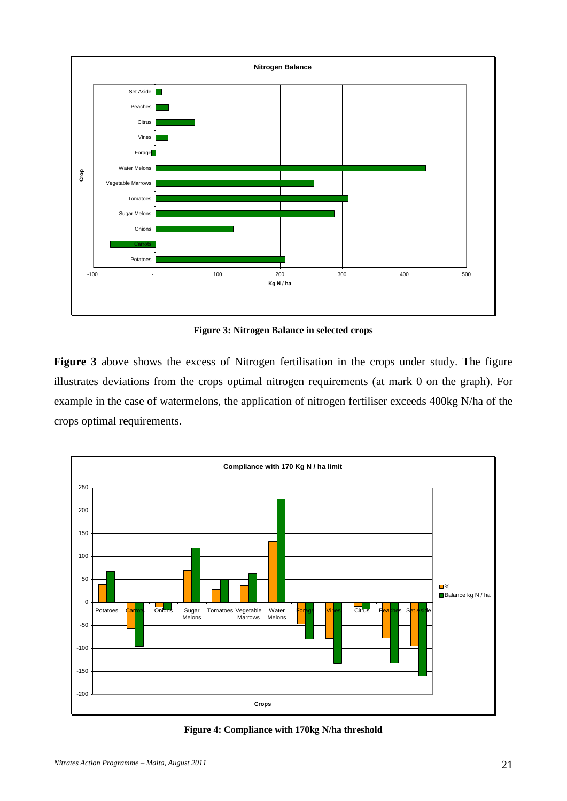

**Figure 3: Nitrogen Balance in selected crops**

**Figure 3** above shows the excess of Nitrogen fertilisation in the crops under study. The figure illustrates deviations from the crops optimal nitrogen requirements (at mark 0 on the graph). For example in the case of watermelons, the application of nitrogen fertiliser exceeds 400kg N/ha of the crops optimal requirements.



**Figure 4: Compliance with 170kg N/ha threshold**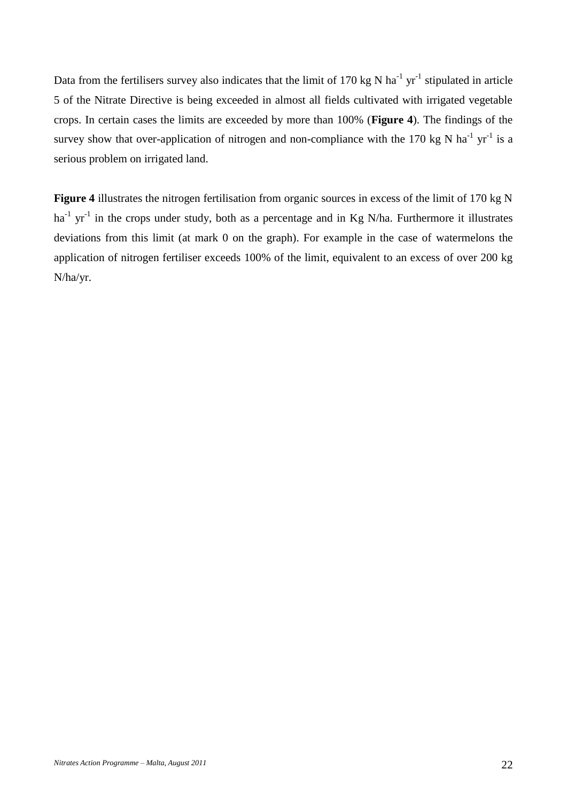Data from the fertilisers survey also indicates that the limit of 170 kg N ha<sup>-1</sup> yr<sup>-1</sup> stipulated in article 5 of the Nitrate Directive is being exceeded in almost all fields cultivated with irrigated vegetable crops. In certain cases the limits are exceeded by more than 100% (**Figure 4**). The findings of the survey show that over-application of nitrogen and non-compliance with the 170 kg N ha<sup>-1</sup> yr<sup>-1</sup> is a serious problem on irrigated land.

**Figure 4** illustrates the nitrogen fertilisation from organic sources in excess of the limit of 170 kg N ha<sup>-1</sup> yr<sup>-1</sup> in the crops under study, both as a percentage and in Kg N/ha. Furthermore it illustrates deviations from this limit (at mark 0 on the graph). For example in the case of watermelons the application of nitrogen fertiliser exceeds 100% of the limit, equivalent to an excess of over 200 kg N/ha/yr.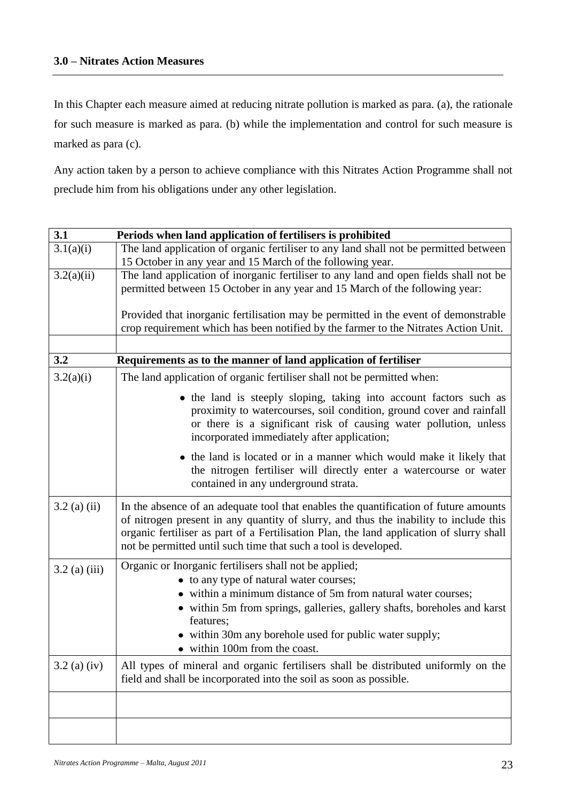In this Chapter each measure aimed at reducing nitrate pollution is marked as para. (a), the rationale for such measure is marked as para. (b) while the implementation and control for such measure is marked as para (c).

Any action taken by a person to achieve compliance with this Nitrates Action Programme shall not preclude him from his obligations under any other legislation.

| 3.1             | Periods when land application of fertilisers is prohibited                                                                                                                                                                                                                                                                                   |
|-----------------|----------------------------------------------------------------------------------------------------------------------------------------------------------------------------------------------------------------------------------------------------------------------------------------------------------------------------------------------|
| 3.1(a)(i)       | The land application of organic fertiliser to any land shall not be permitted between                                                                                                                                                                                                                                                        |
|                 | 15 October in any year and 15 March of the following year.                                                                                                                                                                                                                                                                                   |
| 3.2(a)(ii)      | The land application of inorganic fertiliser to any land and open fields shall not be<br>permitted between 15 October in any year and 15 March of the following year:                                                                                                                                                                        |
|                 | Provided that inorganic fertilisation may be permitted in the event of demonstrable<br>crop requirement which has been notified by the farmer to the Nitrates Action Unit.                                                                                                                                                                   |
|                 |                                                                                                                                                                                                                                                                                                                                              |
| 3.2             | Requirements as to the manner of land application of fertiliser                                                                                                                                                                                                                                                                              |
| 3.2(a)(i)       | The land application of organic fertiliser shall not be permitted when:                                                                                                                                                                                                                                                                      |
|                 | • the land is steeply sloping, taking into account factors such as<br>proximity to watercourses, soil condition, ground cover and rainfall<br>or there is a significant risk of causing water pollution, unless<br>incorporated immediately after application;                                                                               |
|                 | • the land is located or in a manner which would make it likely that<br>the nitrogen fertiliser will directly enter a watercourse or water<br>contained in any underground strata.                                                                                                                                                           |
| $3.2$ (a) (ii)  | In the absence of an adequate tool that enables the quantification of future amounts<br>of nitrogen present in any quantity of slurry, and thus the inability to include this<br>organic fertiliser as part of a Fertilisation Plan, the land application of slurry shall<br>not be permitted until such time that such a tool is developed. |
| $3.2$ (a) (iii) | Organic or Inorganic fertilisers shall not be applied;                                                                                                                                                                                                                                                                                       |
|                 | • to any type of natural water courses;                                                                                                                                                                                                                                                                                                      |
|                 | • within a minimum distance of 5m from natural water courses;                                                                                                                                                                                                                                                                                |
|                 | • within 5m from springs, galleries, gallery shafts, boreholes and karst<br>features;                                                                                                                                                                                                                                                        |
|                 | • within 30m any borehole used for public water supply;                                                                                                                                                                                                                                                                                      |
|                 | • within 100m from the coast.                                                                                                                                                                                                                                                                                                                |
| $3.2$ (a) (iv)  | All types of mineral and organic fertilisers shall be distributed uniformly on the<br>field and shall be incorporated into the soil as soon as possible.                                                                                                                                                                                     |
|                 |                                                                                                                                                                                                                                                                                                                                              |
|                 |                                                                                                                                                                                                                                                                                                                                              |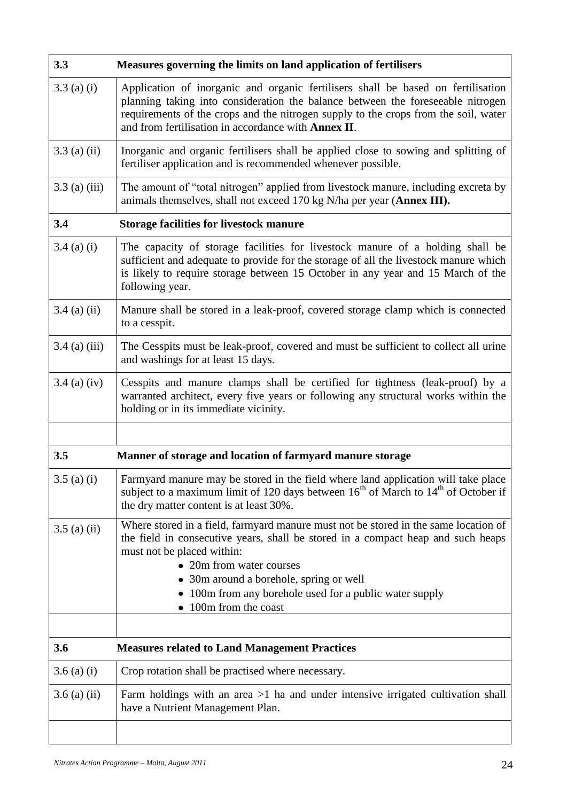| 3.3             | Measures governing the limits on land application of fertilisers                                                                                                                                                                                                                                                                                               |
|-----------------|----------------------------------------------------------------------------------------------------------------------------------------------------------------------------------------------------------------------------------------------------------------------------------------------------------------------------------------------------------------|
| $3.3$ (a) (i)   | Application of inorganic and organic fertilisers shall be based on fertilisation<br>planning taking into consideration the balance between the foreseeable nitrogen<br>requirements of the crops and the nitrogen supply to the crops from the soil, water<br>and from fertilisation in accordance with Annex II.                                              |
| $3.3$ (a) (ii)  | Inorganic and organic fertilisers shall be applied close to sowing and splitting of<br>fertiliser application and is recommended whenever possible.                                                                                                                                                                                                            |
| $3.3$ (a) (iii) | The amount of "total nitrogen" applied from livestock manure, including excreta by<br>animals themselves, shall not exceed 170 kg N/ha per year (Annex III).                                                                                                                                                                                                   |
| 3.4             | <b>Storage facilities for livestock manure</b>                                                                                                                                                                                                                                                                                                                 |
| $3.4$ (a) (i)   | The capacity of storage facilities for livestock manure of a holding shall be<br>sufficient and adequate to provide for the storage of all the livestock manure which<br>is likely to require storage between 15 October in any year and 15 March of the<br>following year.                                                                                    |
| $3.4$ (a) (ii)  | Manure shall be stored in a leak-proof, covered storage clamp which is connected<br>to a cesspit.                                                                                                                                                                                                                                                              |
| $3.4$ (a) (iii) | The Cesspits must be leak-proof, covered and must be sufficient to collect all urine<br>and washings for at least 15 days.                                                                                                                                                                                                                                     |
| $3.4$ (a) (iv)  | Cesspits and manure clamps shall be certified for tightness (leak-proof) by a<br>warranted architect, every five years or following any structural works within the<br>holding or in its immediate vicinity.                                                                                                                                                   |
|                 |                                                                                                                                                                                                                                                                                                                                                                |
| 3.5             | Manner of storage and location of farmyard manure storage                                                                                                                                                                                                                                                                                                      |
| $3.5$ (a) (i)   | Farmyard manure may be stored in the field where land application will take place<br>subject to a maximum limit of 120 days between $16th$ of March to $14th$ of October if<br>the dry matter content is at least 30%.                                                                                                                                         |
| $3.5$ (a) (ii)  | Where stored in a field, farmyard manure must not be stored in the same location of<br>the field in consecutive years, shall be stored in a compact heap and such heaps<br>must not be placed within:<br>• 20m from water courses<br>• 30m around a borehole, spring or well<br>• 100m from any borehole used for a public water supply<br>100m from the coast |
| 3.6             | <b>Measures related to Land Management Practices</b>                                                                                                                                                                                                                                                                                                           |
| $3.6$ (a) (i)   | Crop rotation shall be practised where necessary.                                                                                                                                                                                                                                                                                                              |
| $3.6$ (a) (ii)  | Farm holdings with an area $>1$ ha and under intensive irrigated cultivation shall<br>have a Nutrient Management Plan.                                                                                                                                                                                                                                         |
|                 |                                                                                                                                                                                                                                                                                                                                                                |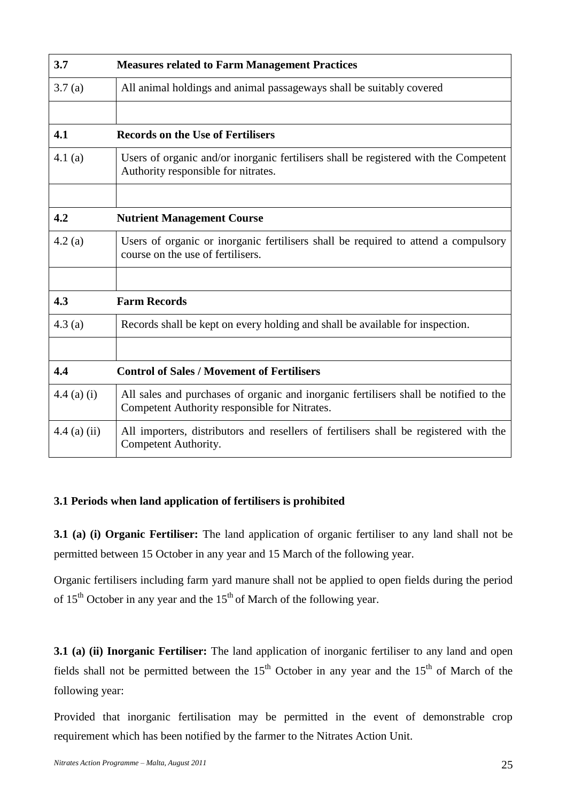| 3.7            | <b>Measures related to Farm Management Practices</b>                                                                                   |
|----------------|----------------------------------------------------------------------------------------------------------------------------------------|
| 3.7(a)         | All animal holdings and animal passageways shall be suitably covered                                                                   |
|                |                                                                                                                                        |
| 4.1            | <b>Records on the Use of Fertilisers</b>                                                                                               |
| 4.1 $(a)$      | Users of organic and/or inorganic fertilisers shall be registered with the Competent<br>Authority responsible for nitrates.            |
|                |                                                                                                                                        |
| 4.2            | <b>Nutrient Management Course</b>                                                                                                      |
| 4.2(a)         | Users of organic or inorganic fertilisers shall be required to attend a compulsory<br>course on the use of fertilisers.                |
|                |                                                                                                                                        |
| 4.3            | <b>Farm Records</b>                                                                                                                    |
| 4.3(a)         | Records shall be kept on every holding and shall be available for inspection.                                                          |
|                |                                                                                                                                        |
| 4.4            | <b>Control of Sales / Movement of Fertilisers</b>                                                                                      |
| $4.4$ (a) (i)  | All sales and purchases of organic and inorganic fertilisers shall be notified to the<br>Competent Authority responsible for Nitrates. |
| $4.4$ (a) (ii) | All importers, distributors and resellers of fertilisers shall be registered with the<br>Competent Authority.                          |

# **3.1 Periods when land application of fertilisers is prohibited**

**3.1 (a) (i) Organic Fertiliser:** The land application of organic fertiliser to any land shall not be permitted between 15 October in any year and 15 March of the following year.

Organic fertilisers including farm yard manure shall not be applied to open fields during the period of  $15<sup>th</sup>$  October in any year and the  $15<sup>th</sup>$  of March of the following year.

**3.1 (a) (ii) Inorganic Fertiliser:** The land application of inorganic fertiliser to any land and open fields shall not be permitted between the  $15<sup>th</sup>$  October in any year and the  $15<sup>th</sup>$  of March of the following year:

Provided that inorganic fertilisation may be permitted in the event of demonstrable crop requirement which has been notified by the farmer to the Nitrates Action Unit.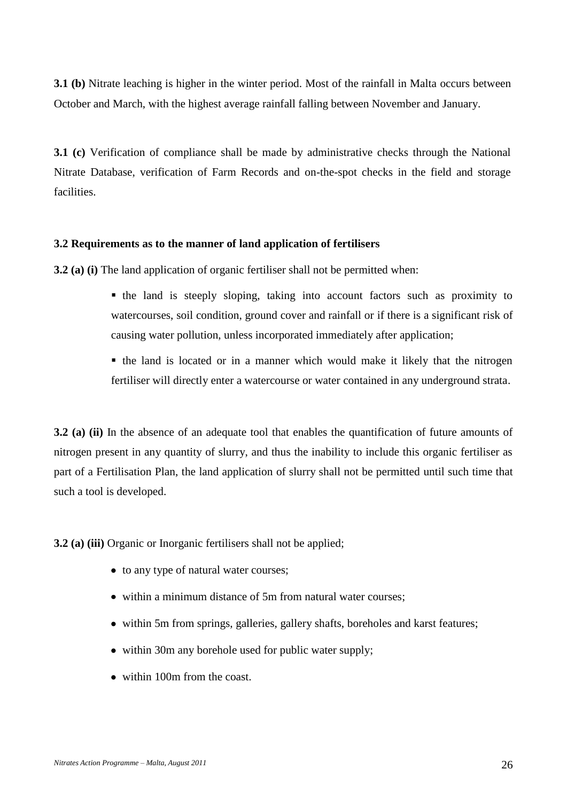**3.1 (b)** Nitrate leaching is higher in the winter period. Most of the rainfall in Malta occurs between October and March, with the highest average rainfall falling between November and January.

**3.1 (c)** Verification of compliance shall be made by administrative checks through the National Nitrate Database, verification of Farm Records and on-the-spot checks in the field and storage facilities.

### **3.2 Requirements as to the manner of land application of fertilisers**

**3.2 (a) (i)** The land application of organic fertiliser shall not be permitted when:

- the land is steeply sloping, taking into account factors such as proximity to watercourses, soil condition, ground cover and rainfall or if there is a significant risk of causing water pollution, unless incorporated immediately after application;
- the land is located or in a manner which would make it likely that the nitrogen fertiliser will directly enter a watercourse or water contained in any underground strata.

**3.2 (a) (ii)** In the absence of an adequate tool that enables the quantification of future amounts of nitrogen present in any quantity of slurry, and thus the inability to include this organic fertiliser as part of a Fertilisation Plan, the land application of slurry shall not be permitted until such time that such a tool is developed.

**3.2 (a) (iii)** Organic or Inorganic fertilisers shall not be applied;

- to any type of natural water courses;
- within a minimum distance of 5m from natural water courses;
- within 5m from springs, galleries, gallery shafts, boreholes and karst features;
- within 30m any borehole used for public water supply;
- within 100m from the coast.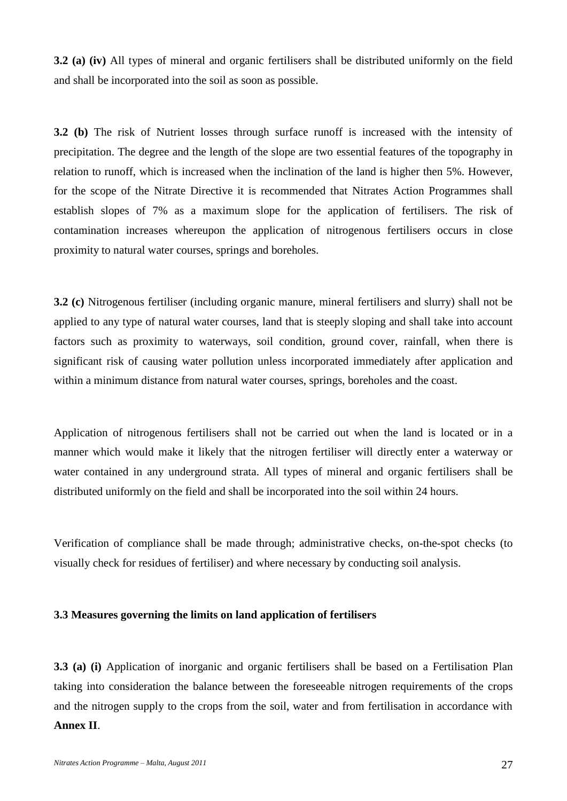**3.2 (a) (iv)** All types of mineral and organic fertilisers shall be distributed uniformly on the field and shall be incorporated into the soil as soon as possible.

**3.2 (b)** The risk of Nutrient losses through surface runoff is increased with the intensity of precipitation. The degree and the length of the slope are two essential features of the topography in relation to runoff, which is increased when the inclination of the land is higher then 5%. However, for the scope of the Nitrate Directive it is recommended that Nitrates Action Programmes shall establish slopes of 7% as a maximum slope for the application of fertilisers. The risk of contamination increases whereupon the application of nitrogenous fertilisers occurs in close proximity to natural water courses, springs and boreholes.

**3.2 (c)** Nitrogenous fertiliser (including organic manure, mineral fertilisers and slurry) shall not be applied to any type of natural water courses, land that is steeply sloping and shall take into account factors such as proximity to waterways, soil condition, ground cover, rainfall, when there is significant risk of causing water pollution unless incorporated immediately after application and within a minimum distance from natural water courses, springs, boreholes and the coast.

Application of nitrogenous fertilisers shall not be carried out when the land is located or in a manner which would make it likely that the nitrogen fertiliser will directly enter a waterway or water contained in any underground strata. All types of mineral and organic fertilisers shall be distributed uniformly on the field and shall be incorporated into the soil within 24 hours.

Verification of compliance shall be made through; administrative checks, on-the-spot checks (to visually check for residues of fertiliser) and where necessary by conducting soil analysis.

### **3.3 Measures governing the limits on land application of fertilisers**

**3.3 (a) (i)** Application of inorganic and organic fertilisers shall be based on a Fertilisation Plan taking into consideration the balance between the foreseeable nitrogen requirements of the crops and the nitrogen supply to the crops from the soil, water and from fertilisation in accordance with **Annex II**.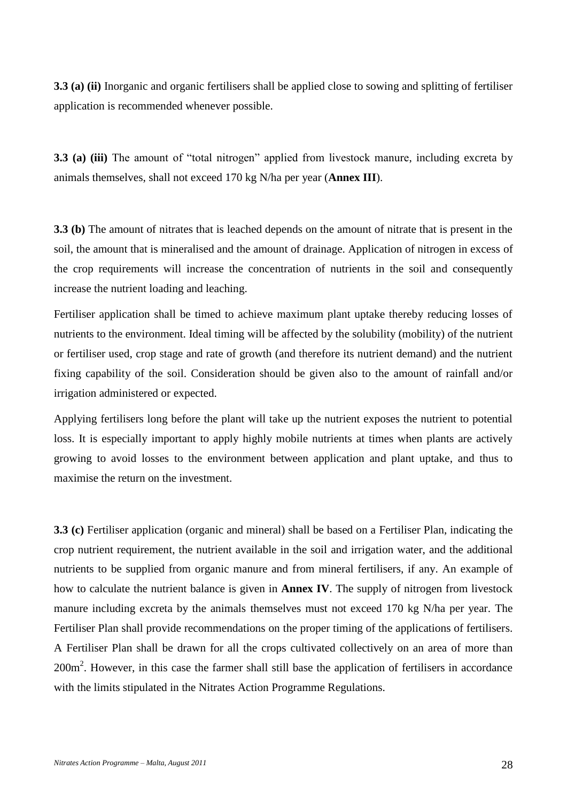**3.3 (a) (ii)** Inorganic and organic fertilisers shall be applied close to sowing and splitting of fertiliser application is recommended whenever possible.

**3.3 (a) (iii)** The amount of "total nitrogen" applied from livestock manure, including excreta by animals themselves, shall not exceed 170 kg N/ha per year (**Annex III**).

**3.3 (b)** The amount of nitrates that is leached depends on the amount of nitrate that is present in the soil, the amount that is mineralised and the amount of drainage. Application of nitrogen in excess of the crop requirements will increase the concentration of nutrients in the soil and consequently increase the nutrient loading and leaching.

Fertiliser application shall be timed to achieve maximum plant uptake thereby reducing losses of nutrients to the environment. Ideal timing will be affected by the solubility (mobility) of the nutrient or fertiliser used, crop stage and rate of growth (and therefore its nutrient demand) and the nutrient fixing capability of the soil. Consideration should be given also to the amount of rainfall and/or irrigation administered or expected.

Applying fertilisers long before the plant will take up the nutrient exposes the nutrient to potential loss. It is especially important to apply highly mobile nutrients at times when plants are actively growing to avoid losses to the environment between application and plant uptake, and thus to maximise the return on the investment.

**3.3 (c)** Fertiliser application (organic and mineral) shall be based on a Fertiliser Plan, indicating the crop nutrient requirement, the nutrient available in the soil and irrigation water, and the additional nutrients to be supplied from organic manure and from mineral fertilisers, if any. An example of how to calculate the nutrient balance is given in **Annex IV**. The supply of nitrogen from livestock manure including excreta by the animals themselves must not exceed 170 kg N/ha per year. The Fertiliser Plan shall provide recommendations on the proper timing of the applications of fertilisers. A Fertiliser Plan shall be drawn for all the crops cultivated collectively on an area of more than 200m<sup>2</sup>. However, in this case the farmer shall still base the application of fertilisers in accordance with the limits stipulated in the Nitrates Action Programme Regulations.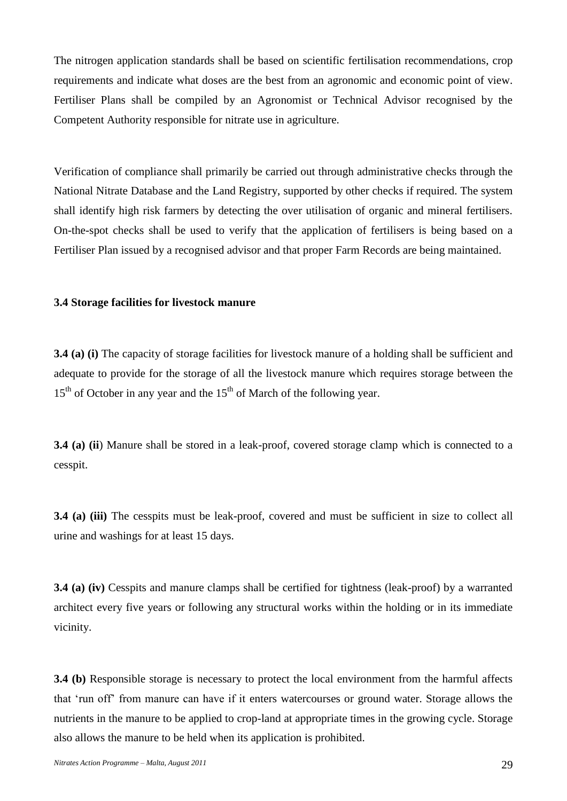The nitrogen application standards shall be based on scientific fertilisation recommendations, crop requirements and indicate what doses are the best from an agronomic and economic point of view. Fertiliser Plans shall be compiled by an Agronomist or Technical Advisor recognised by the Competent Authority responsible for nitrate use in agriculture.

Verification of compliance shall primarily be carried out through administrative checks through the National Nitrate Database and the Land Registry, supported by other checks if required. The system shall identify high risk farmers by detecting the over utilisation of organic and mineral fertilisers. On-the-spot checks shall be used to verify that the application of fertilisers is being based on a Fertiliser Plan issued by a recognised advisor and that proper Farm Records are being maintained.

### **3.4 Storage facilities for livestock manure**

**3.4 (a) (i)** The capacity of storage facilities for livestock manure of a holding shall be sufficient and adequate to provide for the storage of all the livestock manure which requires storage between the  $15<sup>th</sup>$  of October in any year and the  $15<sup>th</sup>$  of March of the following year.

**3.4 (a) (ii)** Manure shall be stored in a leak-proof, covered storage clamp which is connected to a cesspit.

**3.4 (a) (iii)** The cesspits must be leak-proof, covered and must be sufficient in size to collect all urine and washings for at least 15 days.

**3.4 (a) (iv)** Cesspits and manure clamps shall be certified for tightness (leak-proof) by a warranted architect every five years or following any structural works within the holding or in its immediate vicinity.

**3.4 (b)** Responsible storage is necessary to protect the local environment from the harmful affects that 'run off' from manure can have if it enters watercourses or ground water. Storage allows the nutrients in the manure to be applied to crop-land at appropriate times in the growing cycle. Storage also allows the manure to be held when its application is prohibited.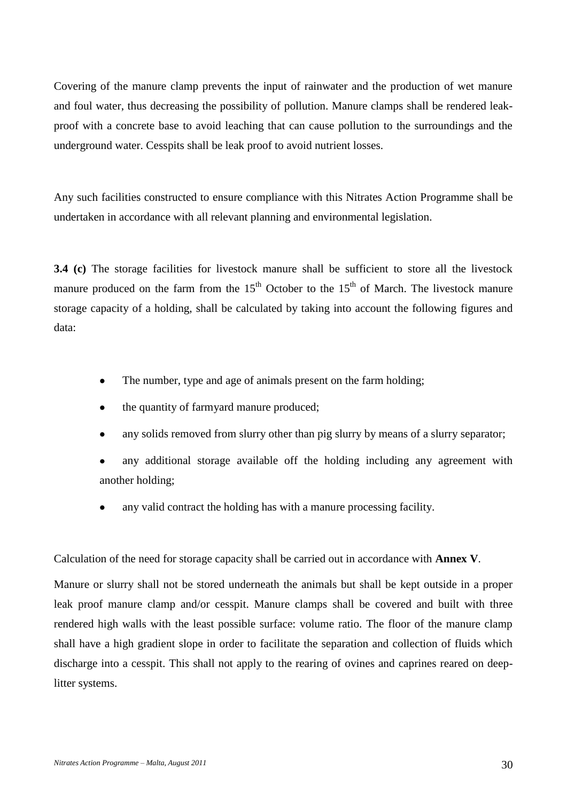Covering of the manure clamp prevents the input of rainwater and the production of wet manure and foul water, thus decreasing the possibility of pollution. Manure clamps shall be rendered leakproof with a concrete base to avoid leaching that can cause pollution to the surroundings and the underground water. Cesspits shall be leak proof to avoid nutrient losses.

Any such facilities constructed to ensure compliance with this Nitrates Action Programme shall be undertaken in accordance with all relevant planning and environmental legislation.

**3.4 (c)** The storage facilities for livestock manure shall be sufficient to store all the livestock manure produced on the farm from the  $15<sup>th</sup>$  October to the  $15<sup>th</sup>$  of March. The livestock manure storage capacity of a holding, shall be calculated by taking into account the following figures and data:

- The number, type and age of animals present on the farm holding;
- the quantity of farmyard manure produced;
- any solids removed from slurry other than pig slurry by means of a slurry separator;
- any additional storage available off the holding including any agreement with another holding;
- any valid contract the holding has with a manure processing facility.

Calculation of the need for storage capacity shall be carried out in accordance with **Annex V**.

Manure or slurry shall not be stored underneath the animals but shall be kept outside in a proper leak proof manure clamp and/or cesspit. Manure clamps shall be covered and built with three rendered high walls with the least possible surface: volume ratio. The floor of the manure clamp shall have a high gradient slope in order to facilitate the separation and collection of fluids which discharge into a cesspit. This shall not apply to the rearing of ovines and caprines reared on deeplitter systems.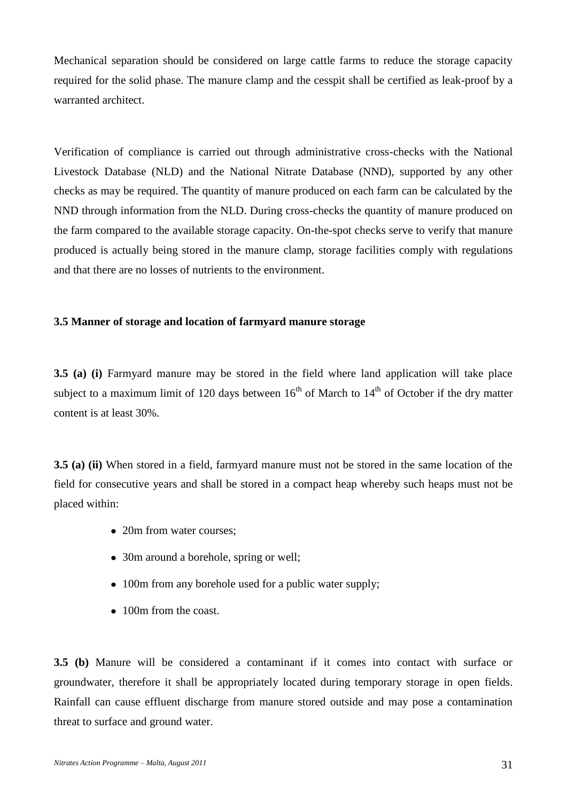Mechanical separation should be considered on large cattle farms to reduce the storage capacity required for the solid phase. The manure clamp and the cesspit shall be certified as leak-proof by a warranted architect.

Verification of compliance is carried out through administrative cross-checks with the National Livestock Database (NLD) and the National Nitrate Database (NND), supported by any other checks as may be required. The quantity of manure produced on each farm can be calculated by the NND through information from the NLD. During cross-checks the quantity of manure produced on the farm compared to the available storage capacity. On-the-spot checks serve to verify that manure produced is actually being stored in the manure clamp, storage facilities comply with regulations and that there are no losses of nutrients to the environment.

### **3.5 Manner of storage and location of farmyard manure storage**

**3.5 (a) (i)** Farmyard manure may be stored in the field where land application will take place subject to a maximum limit of 120 days between  $16<sup>th</sup>$  of March to  $14<sup>th</sup>$  of October if the dry matter content is at least 30%.

**3.5 (a) (ii)** When stored in a field, farmyard manure must not be stored in the same location of the field for consecutive years and shall be stored in a compact heap whereby such heaps must not be placed within:

- 20m from water courses;
- 30m around a borehole, spring or well;
- 100m from any borehole used for a public water supply;
- 100m from the coast.

**3.5 (b)** Manure will be considered a contaminant if it comes into contact with surface or groundwater, therefore it shall be appropriately located during temporary storage in open fields. Rainfall can cause effluent discharge from manure stored outside and may pose a contamination threat to surface and ground water.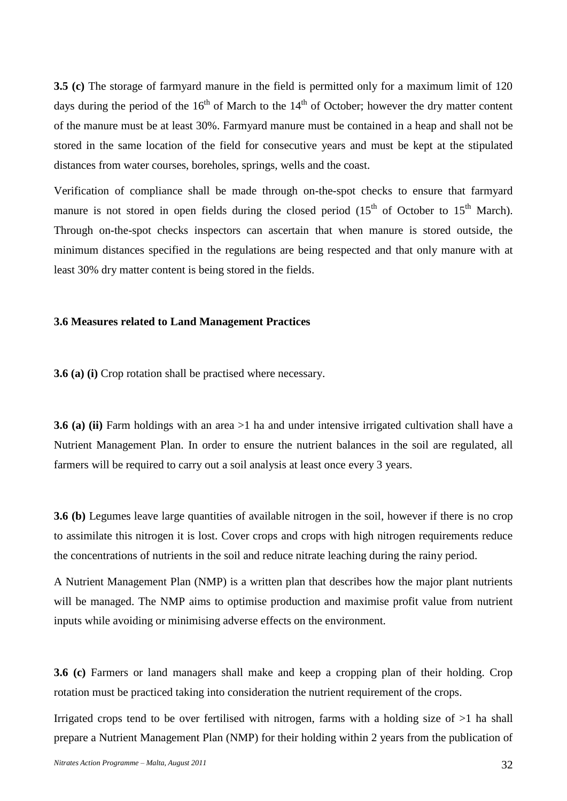**3.5 (c)** The storage of farmyard manure in the field is permitted only for a maximum limit of 120 days during the period of the  $16<sup>th</sup>$  of March to the  $14<sup>th</sup>$  of October; however the dry matter content of the manure must be at least 30%. Farmyard manure must be contained in a heap and shall not be stored in the same location of the field for consecutive years and must be kept at the stipulated distances from water courses, boreholes, springs, wells and the coast.

Verification of compliance shall be made through on-the-spot checks to ensure that farmyard manure is not stored in open fields during the closed period  $(15<sup>th</sup>$  of October to  $15<sup>th</sup>$  March). Through on-the-spot checks inspectors can ascertain that when manure is stored outside, the minimum distances specified in the regulations are being respected and that only manure with at least 30% dry matter content is being stored in the fields.

#### **3.6 Measures related to Land Management Practices**

**3.6 (a) (i)** Crop rotation shall be practised where necessary.

**3.6 (a) (ii)** Farm holdings with an area >1 ha and under intensive irrigated cultivation shall have a Nutrient Management Plan. In order to ensure the nutrient balances in the soil are regulated, all farmers will be required to carry out a soil analysis at least once every 3 years.

**3.6 (b)** Legumes leave large quantities of available nitrogen in the soil, however if there is no crop to assimilate this nitrogen it is lost. Cover crops and crops with high nitrogen requirements reduce the concentrations of nutrients in the soil and reduce nitrate leaching during the rainy period.

A Nutrient Management Plan (NMP) is a written plan that describes how the major plant nutrients will be managed. The NMP aims to optimise production and maximise profit value from nutrient inputs while avoiding or minimising adverse effects on the environment.

**3.6 (c)** Farmers or land managers shall make and keep a cropping plan of their holding. Crop rotation must be practiced taking into consideration the nutrient requirement of the crops.

Irrigated crops tend to be over fertilised with nitrogen, farms with a holding size of >1 ha shall prepare a Nutrient Management Plan (NMP) for their holding within 2 years from the publication of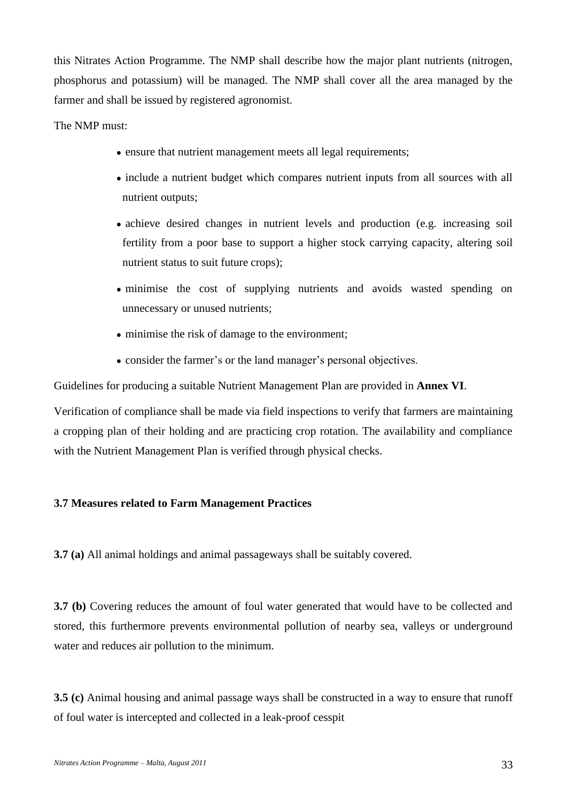this Nitrates Action Programme. The NMP shall describe how the major plant nutrients (nitrogen, phosphorus and potassium) will be managed. The NMP shall cover all the area managed by the farmer and shall be issued by registered agronomist.

The NMP must:

- ensure that nutrient management meets all legal requirements;
- include a nutrient budget which compares nutrient inputs from all sources with all nutrient outputs;
- achieve desired changes in nutrient levels and production (e.g. increasing soil fertility from a poor base to support a higher stock carrying capacity, altering soil nutrient status to suit future crops);
- minimise the cost of supplying nutrients and avoids wasted spending on unnecessary or unused nutrients;
- minimise the risk of damage to the environment;
- consider the farmer's or the land manager's personal objectives.

Guidelines for producing a suitable Nutrient Management Plan are provided in **Annex VI**.

Verification of compliance shall be made via field inspections to verify that farmers are maintaining a cropping plan of their holding and are practicing crop rotation. The availability and compliance with the Nutrient Management Plan is verified through physical checks.

# **3.7 Measures related to Farm Management Practices**

**3.7 (a)** All animal holdings and animal passageways shall be suitably covered.

**3.7 (b)** Covering reduces the amount of foul water generated that would have to be collected and stored, this furthermore prevents environmental pollution of nearby sea, valleys or underground water and reduces air pollution to the minimum.

**3.5 (c)** Animal housing and animal passage ways shall be constructed in a way to ensure that runoff of foul water is intercepted and collected in a leak-proof cesspit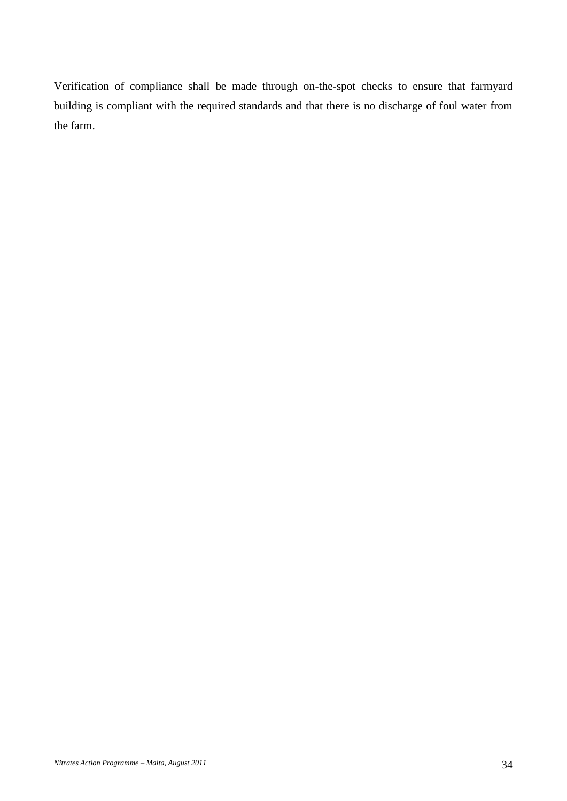Verification of compliance shall be made through on-the-spot checks to ensure that farmyard building is compliant with the required standards and that there is no discharge of foul water from the farm.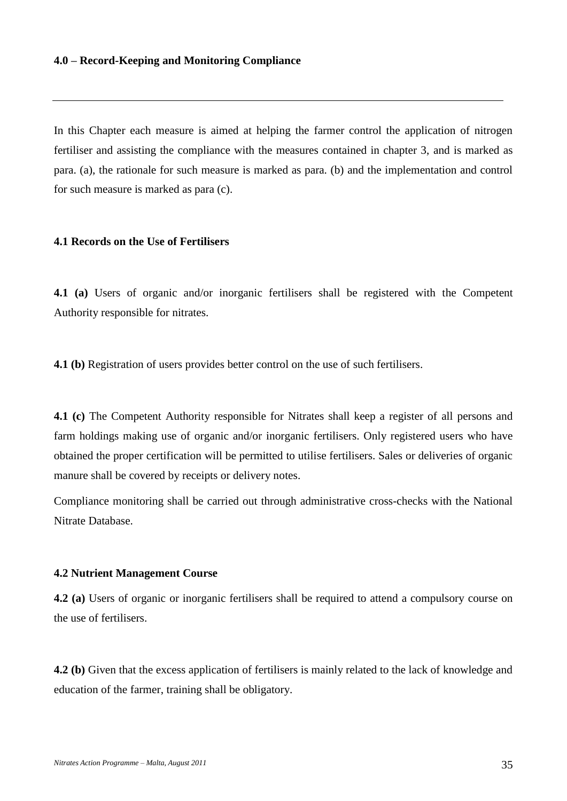#### **4.0 – Record-Keeping and Monitoring Compliance**

In this Chapter each measure is aimed at helping the farmer control the application of nitrogen fertiliser and assisting the compliance with the measures contained in chapter 3, and is marked as para. (a), the rationale for such measure is marked as para. (b) and the implementation and control for such measure is marked as para (c).

### **4.1 Records on the Use of Fertilisers**

**4.1 (a)** Users of organic and/or inorganic fertilisers shall be registered with the Competent Authority responsible for nitrates.

**4.1 (b)** Registration of users provides better control on the use of such fertilisers.

**4.1 (c)** The Competent Authority responsible for Nitrates shall keep a register of all persons and farm holdings making use of organic and/or inorganic fertilisers. Only registered users who have obtained the proper certification will be permitted to utilise fertilisers. Sales or deliveries of organic manure shall be covered by receipts or delivery notes.

Compliance monitoring shall be carried out through administrative cross-checks with the National Nitrate Database.

#### **4.2 Nutrient Management Course**

**4.2 (a)** Users of organic or inorganic fertilisers shall be required to attend a compulsory course on the use of fertilisers.

**4.2 (b)** Given that the excess application of fertilisers is mainly related to the lack of knowledge and education of the farmer, training shall be obligatory.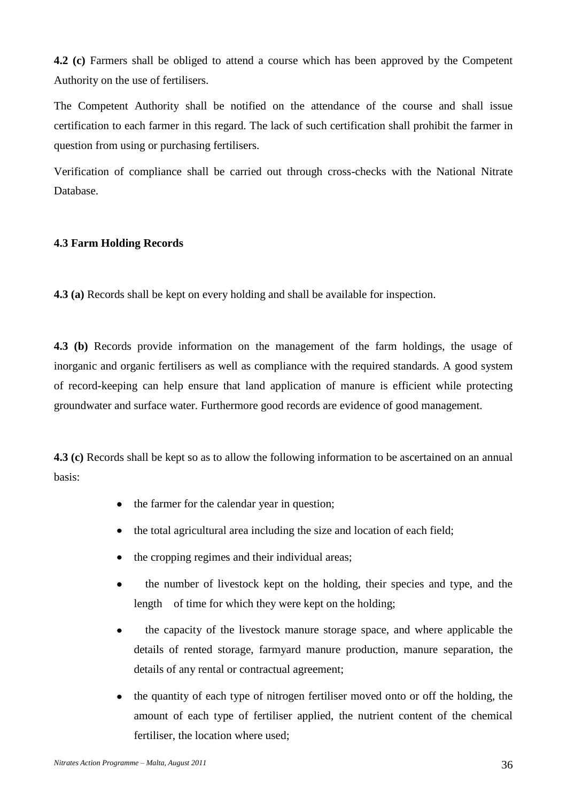**4.2 (c)** Farmers shall be obliged to attend a course which has been approved by the Competent Authority on the use of fertilisers.

The Competent Authority shall be notified on the attendance of the course and shall issue certification to each farmer in this regard. The lack of such certification shall prohibit the farmer in question from using or purchasing fertilisers.

Verification of compliance shall be carried out through cross-checks with the National Nitrate Database.

# **4.3 Farm Holding Records**

**4.3 (a)** Records shall be kept on every holding and shall be available for inspection.

**4.3 (b)** Records provide information on the management of the farm holdings, the usage of inorganic and organic fertilisers as well as compliance with the required standards. A good system of record-keeping can help ensure that land application of manure is efficient while protecting groundwater and surface water. Furthermore good records are evidence of good management.

**4.3 (c)** Records shall be kept so as to allow the following information to be ascertained on an annual basis:

- the farmer for the calendar year in question;
- the total agricultural area including the size and location of each field;
- the cropping regimes and their individual areas;
- the number of livestock kept on the holding, their species and type, and the  $\bullet$ length of time for which they were kept on the holding;
- the capacity of the livestock manure storage space, and where applicable the  $\bullet$ details of rented storage, farmyard manure production, manure separation, the details of any rental or contractual agreement;
- the quantity of each type of nitrogen fertiliser moved onto or off the holding, the  $\bullet$ amount of each type of fertiliser applied, the nutrient content of the chemical fertiliser, the location where used;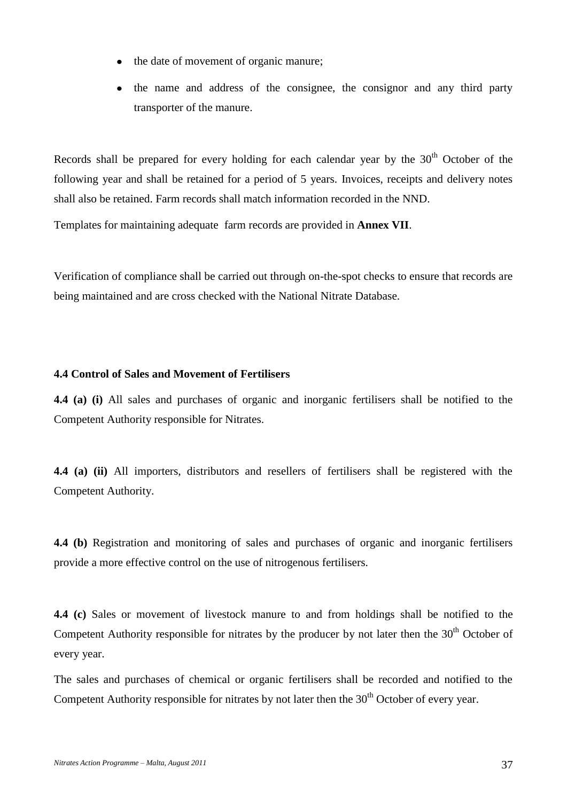- the date of movement of organic manure;
- the name and address of the consignee, the consignor and any third party transporter of the manure.

Records shall be prepared for every holding for each calendar year by the  $30<sup>th</sup>$  October of the following year and shall be retained for a period of 5 years. Invoices, receipts and delivery notes shall also be retained. Farm records shall match information recorded in the NND.

Templates for maintaining adequate farm records are provided in **Annex VII**.

Verification of compliance shall be carried out through on-the-spot checks to ensure that records are being maintained and are cross checked with the National Nitrate Database.

### **4.4 Control of Sales and Movement of Fertilisers**

**4.4 (a) (i)** All sales and purchases of organic and inorganic fertilisers shall be notified to the Competent Authority responsible for Nitrates.

**4.4 (a) (ii)** All importers, distributors and resellers of fertilisers shall be registered with the Competent Authority.

**4.4 (b)** Registration and monitoring of sales and purchases of organic and inorganic fertilisers provide a more effective control on the use of nitrogenous fertilisers.

**4.4 (c)** Sales or movement of livestock manure to and from holdings shall be notified to the Competent Authority responsible for nitrates by the producer by not later then the  $30<sup>th</sup>$  October of every year.

The sales and purchases of chemical or organic fertilisers shall be recorded and notified to the Competent Authority responsible for nitrates by not later then the  $30<sup>th</sup>$  October of every year.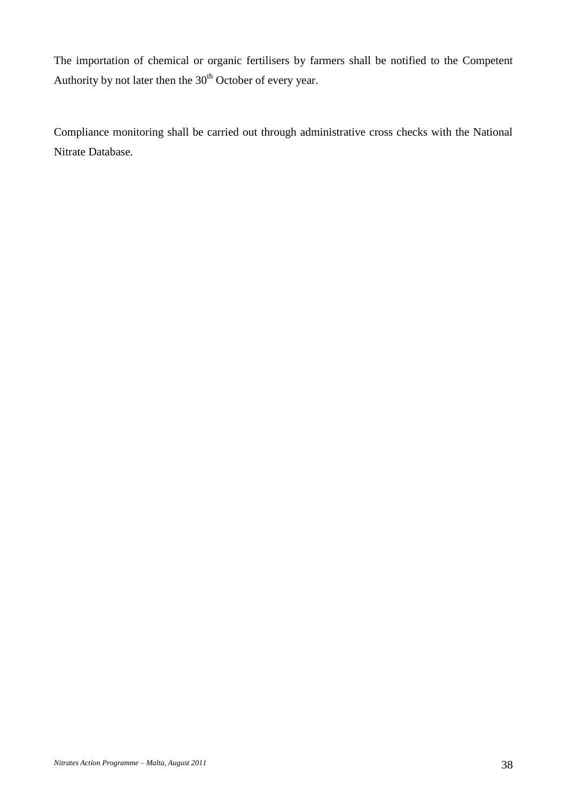The importation of chemical or organic fertilisers by farmers shall be notified to the Competent Authority by not later then the  $30<sup>th</sup>$  October of every year.

Compliance monitoring shall be carried out through administrative cross checks with the National Nitrate Database.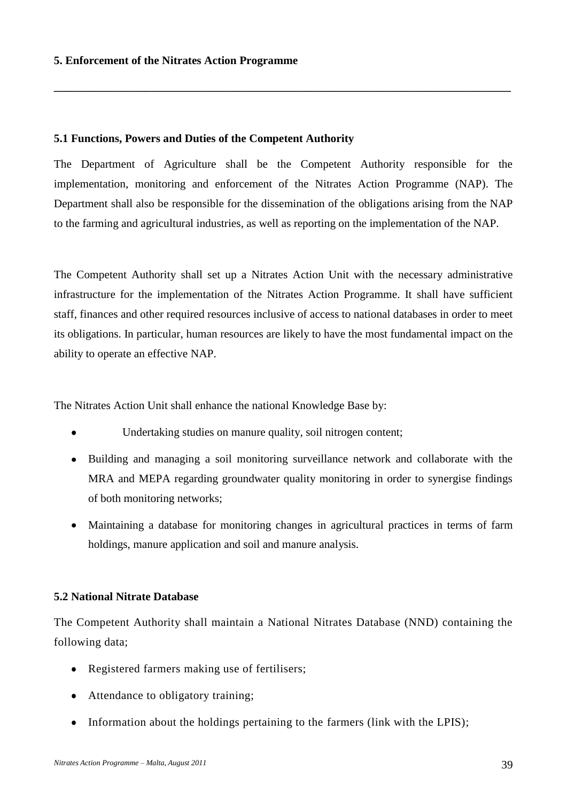### **5.1 Functions, Powers and Duties of the Competent Authority**

The Department of Agriculture shall be the Competent Authority responsible for the implementation, monitoring and enforcement of the Nitrates Action Programme (NAP). The Department shall also be responsible for the dissemination of the obligations arising from the NAP to the farming and agricultural industries, as well as reporting on the implementation of the NAP.

**\_\_\_\_\_\_\_\_\_\_\_\_\_\_\_\_\_\_\_\_\_\_\_\_\_\_\_\_\_\_\_\_\_\_\_\_\_\_\_\_\_\_\_\_\_\_\_\_\_\_\_\_\_\_\_\_\_\_\_\_\_\_\_\_\_\_\_\_\_\_\_\_\_\_\_\_\_\_\_\_**

The Competent Authority shall set up a Nitrates Action Unit with the necessary administrative infrastructure for the implementation of the Nitrates Action Programme. It shall have sufficient staff, finances and other required resources inclusive of access to national databases in order to meet its obligations. In particular, human resources are likely to have the most fundamental impact on the ability to operate an effective NAP.

The Nitrates Action Unit shall enhance the national Knowledge Base by:

- Undertaking studies on manure quality, soil nitrogen content;
- Building and managing a soil monitoring surveillance network and collaborate with the MRA and MEPA regarding groundwater quality monitoring in order to synergise findings of both monitoring networks;
- Maintaining a database for monitoring changes in agricultural practices in terms of farm holdings, manure application and soil and manure analysis.

# **5.2 National Nitrate Database**

The Competent Authority shall maintain a National Nitrates Database (NND) containing the following data;

- Registered farmers making use of fertilisers;  $\bullet$
- Attendance to obligatory training;
- $\bullet$ Information about the holdings pertaining to the farmers (link with the LPIS);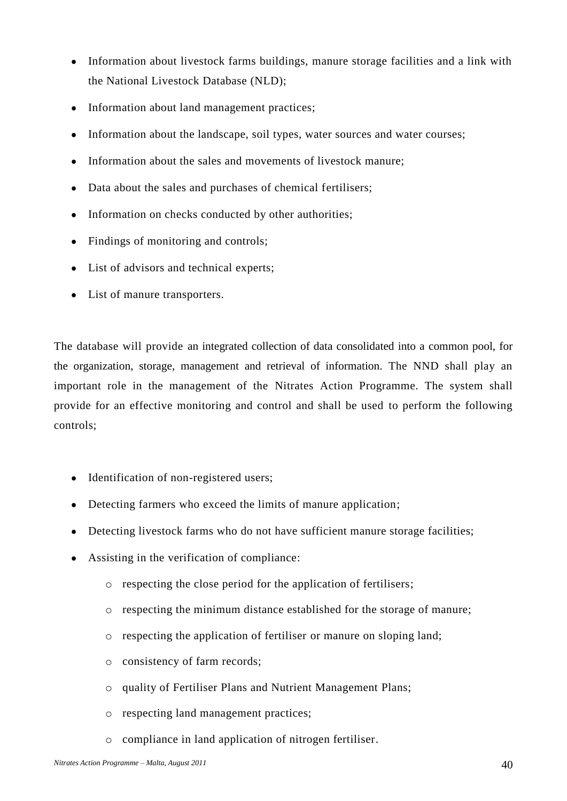- Information about livestock farms buildings, manure storage facilities and a link with  $\bullet$ the National Livestock Database (NLD);
- Information about land management practices;  $\bullet$
- Information about the landscape, soil types, water sources and water courses;  $\bullet$
- Information about the sales and movements of livestock manure;  $\bullet$
- Data about the sales and purchases of chemical fertilisers;  $\bullet$
- Information on checks conducted by other authorities;  $\bullet$
- Findings of monitoring and controls;  $\bullet$
- List of advisors and technical experts;  $\bullet$
- List of manure transporters.  $\bullet$

The database will provide an integrated collection of data consolidated into a common pool, for the organization, storage, management and retrieval of information. The NND shall play an important role in the management of the Nitrates Action Programme. The system shall provide for an effective monitoring and control and shall be used to perform the following controls;

- Identification of non-registered users;  $\bullet$
- Detecting farmers who exceed the limits of manure application;  $\bullet$
- Detecting livestock farms who do not have sufficient manure storage facilities;
- Assisting in the verification of compliance:
	- o respecting the close period for the application of fertilisers;
	- o respecting the minimum distance established for the storage of manure;
	- o respecting the application of fertiliser or manure on sloping land;
	- o consistency of farm records;
	- o quality of Fertiliser Plans and Nutrient Management Plans;
	- o respecting land management practices;
	- o compliance in land application of nitrogen fertiliser.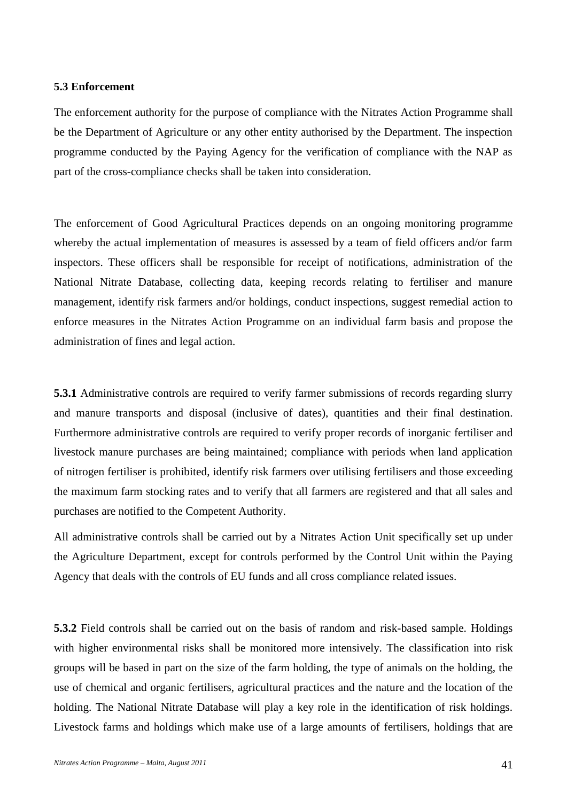#### **5.3 Enforcement**

The enforcement authority for the purpose of compliance with the Nitrates Action Programme shall be the Department of Agriculture or any other entity authorised by the Department. The inspection programme conducted by the Paying Agency for the verification of compliance with the NAP as part of the cross-compliance checks shall be taken into consideration.

The enforcement of Good Agricultural Practices depends on an ongoing monitoring programme whereby the actual implementation of measures is assessed by a team of field officers and/or farm inspectors. These officers shall be responsible for receipt of notifications, administration of the National Nitrate Database, collecting data, keeping records relating to fertiliser and manure management, identify risk farmers and/or holdings, conduct inspections, suggest remedial action to enforce measures in the Nitrates Action Programme on an individual farm basis and propose the administration of fines and legal action.

**5.3.1** Administrative controls are required to verify farmer submissions of records regarding slurry and manure transports and disposal (inclusive of dates), quantities and their final destination. Furthermore administrative controls are required to verify proper records of inorganic fertiliser and livestock manure purchases are being maintained; compliance with periods when land application of nitrogen fertiliser is prohibited, identify risk farmers over utilising fertilisers and those exceeding the maximum farm stocking rates and to verify that all farmers are registered and that all sales and purchases are notified to the Competent Authority.

All administrative controls shall be carried out by a Nitrates Action Unit specifically set up under the Agriculture Department, except for controls performed by the Control Unit within the Paying Agency that deals with the controls of EU funds and all cross compliance related issues.

**5.3.2** Field controls shall be carried out on the basis of random and risk-based sample. Holdings with higher environmental risks shall be monitored more intensively. The classification into risk groups will be based in part on the size of the farm holding, the type of animals on the holding, the use of chemical and organic fertilisers, agricultural practices and the nature and the location of the holding. The National Nitrate Database will play a key role in the identification of risk holdings. Livestock farms and holdings which make use of a large amounts of fertilisers, holdings that are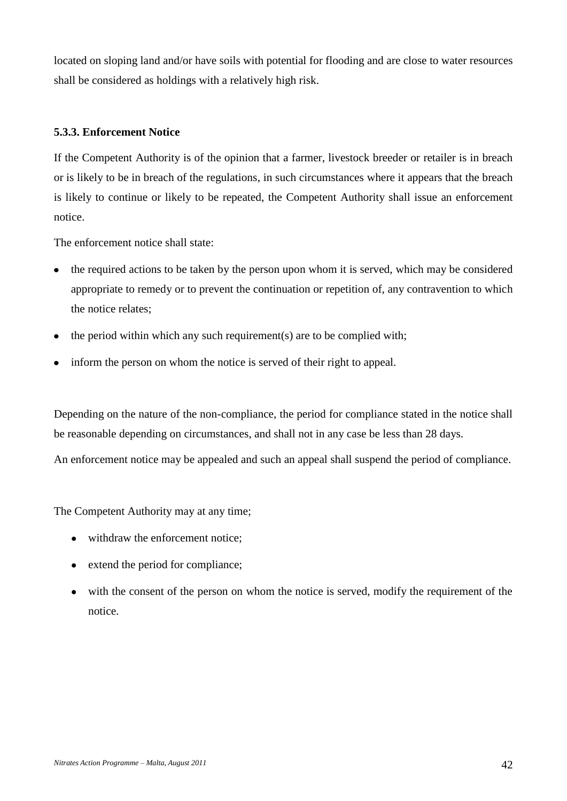located on sloping land and/or have soils with potential for flooding and are close to water resources shall be considered as holdings with a relatively high risk.

# **5.3.3. Enforcement Notice**

If the Competent Authority is of the opinion that a farmer, livestock breeder or retailer is in breach or is likely to be in breach of the regulations, in such circumstances where it appears that the breach is likely to continue or likely to be repeated, the Competent Authority shall issue an enforcement notice.

The enforcement notice shall state:

- the required actions to be taken by the person upon whom it is served, which may be considered appropriate to remedy or to prevent the continuation or repetition of, any contravention to which the notice relates;
- $\bullet$  the period within which any such requirement(s) are to be complied with;
- inform the person on whom the notice is served of their right to appeal.

Depending on the nature of the non-compliance, the period for compliance stated in the notice shall be reasonable depending on circumstances, and shall not in any case be less than 28 days.

An enforcement notice may be appealed and such an appeal shall suspend the period of compliance.

The Competent Authority may at any time;

- withdraw the enforcement notice;
- extend the period for compliance;
- with the consent of the person on whom the notice is served, modify the requirement of the  $\bullet$ notice.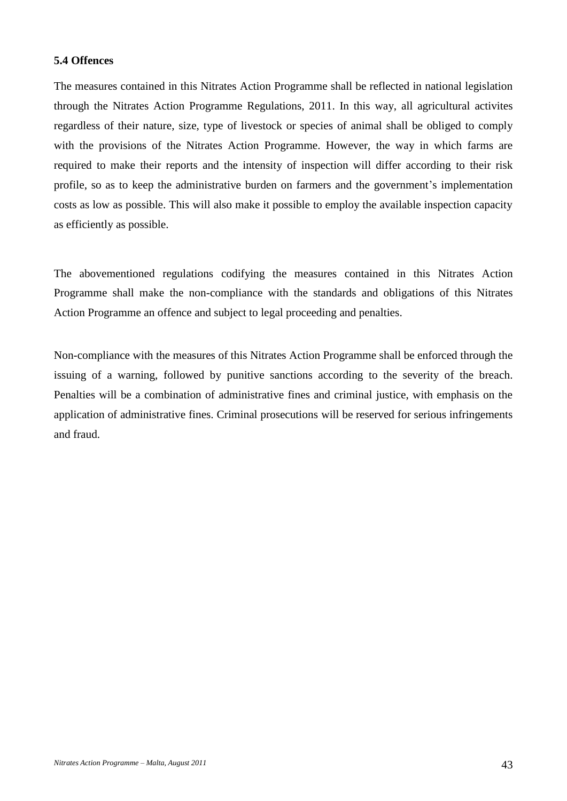### **5.4 Offences**

The measures contained in this Nitrates Action Programme shall be reflected in national legislation through the Nitrates Action Programme Regulations, 2011. In this way, all agricultural activites regardless of their nature, size, type of livestock or species of animal shall be obliged to comply with the provisions of the Nitrates Action Programme. However, the way in which farms are required to make their reports and the intensity of inspection will differ according to their risk profile, so as to keep the administrative burden on farmers and the government's implementation costs as low as possible. This will also make it possible to employ the available inspection capacity as efficiently as possible.

The abovementioned regulations codifying the measures contained in this Nitrates Action Programme shall make the non-compliance with the standards and obligations of this Nitrates Action Programme an offence and subject to legal proceeding and penalties.

Non-compliance with the measures of this Nitrates Action Programme shall be enforced through the issuing of a warning, followed by punitive sanctions according to the severity of the breach. Penalties will be a combination of administrative fines and criminal justice, with emphasis on the application of administrative fines. Criminal prosecutions will be reserved for serious infringements and fraud.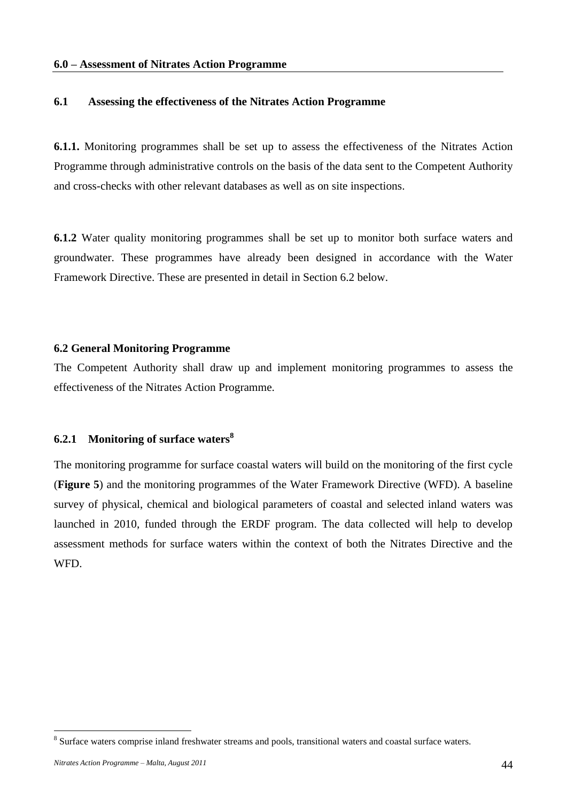### **6.1 Assessing the effectiveness of the Nitrates Action Programme**

**6.1.1.** Monitoring programmes shall be set up to assess the effectiveness of the Nitrates Action Programme through administrative controls on the basis of the data sent to the Competent Authority and cross-checks with other relevant databases as well as on site inspections.

**6.1.2** Water quality monitoring programmes shall be set up to monitor both surface waters and groundwater. These programmes have already been designed in accordance with the Water Framework Directive. These are presented in detail in Section 6.2 below.

### **6.2 General Monitoring Programme**

The Competent Authority shall draw up and implement monitoring programmes to assess the effectiveness of the Nitrates Action Programme.

# **6.2.1 Monitoring of surface waters<sup>8</sup>**

The monitoring programme for surface coastal waters will build on the monitoring of the first cycle (**Figure 5**) and the monitoring programmes of the Water Framework Directive (WFD). A baseline survey of physical, chemical and biological parameters of coastal and selected inland waters was launched in 2010, funded through the ERDF program. The data collected will help to develop assessment methods for surface waters within the context of both the Nitrates Directive and the WFD.

1

<sup>&</sup>lt;sup>8</sup> Surface waters comprise inland freshwater streams and pools, transitional waters and coastal surface waters.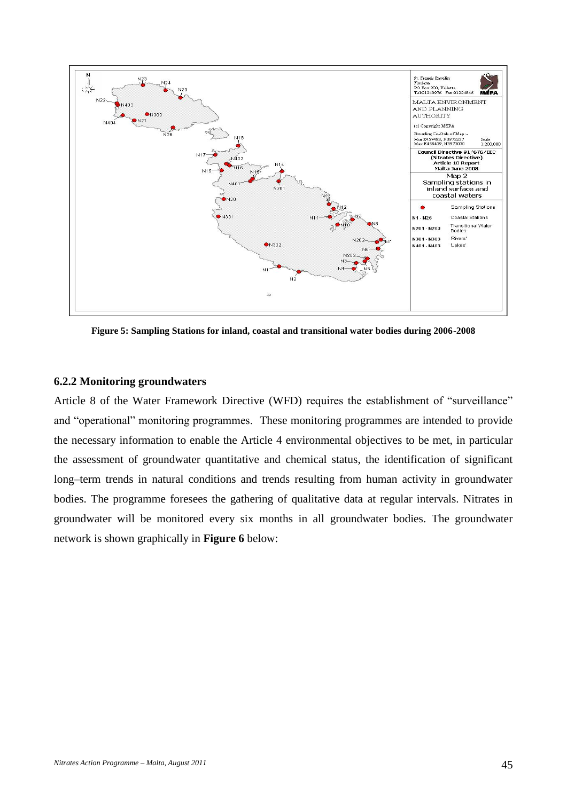

**Figure 5: Sampling Stations for inland, coastal and transitional water bodies during 2006-2008**

### **6.2.2 Monitoring groundwaters**

Article 8 of the Water Framework Directive (WFD) requires the establishment of "surveillance" and "operational" monitoring programmes. These monitoring programmes are intended to provide the necessary information to enable the Article 4 environmental objectives to be met, in particular the assessment of groundwater quantitative and chemical status, the identification of significant long–term trends in natural conditions and trends resulting from human activity in groundwater bodies. The programme foresees the gathering of qualitative data at regular intervals. Nitrates in groundwater will be monitored every six months in all groundwater bodies. The groundwater network is shown graphically in **Figure 6** below: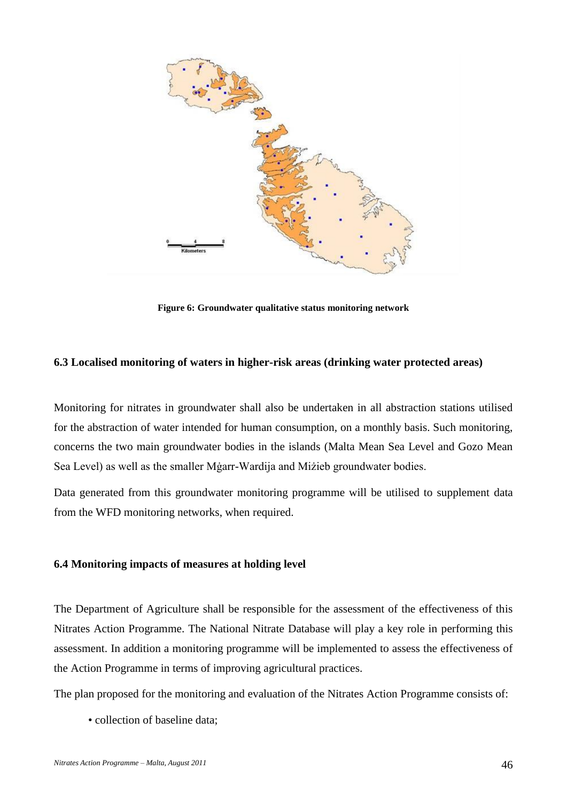

**Figure 6: Groundwater qualitative status monitoring network**

# **6.3 Localised monitoring of waters in higher-risk areas (drinking water protected areas)**

Monitoring for nitrates in groundwater shall also be undertaken in all abstraction stations utilised for the abstraction of water intended for human consumption, on a monthly basis. Such monitoring, concerns the two main groundwater bodies in the islands (Malta Mean Sea Level and Gozo Mean Sea Level) as well as the smaller Mġarr-Wardija and Miżieb groundwater bodies.

Data generated from this groundwater monitoring programme will be utilised to supplement data from the WFD monitoring networks, when required.

### **6.4 Monitoring impacts of measures at holding level**

The Department of Agriculture shall be responsible for the assessment of the effectiveness of this Nitrates Action Programme. The National Nitrate Database will play a key role in performing this assessment. In addition a monitoring programme will be implemented to assess the effectiveness of the Action Programme in terms of improving agricultural practices.

The plan proposed for the monitoring and evaluation of the Nitrates Action Programme consists of:

• collection of baseline data;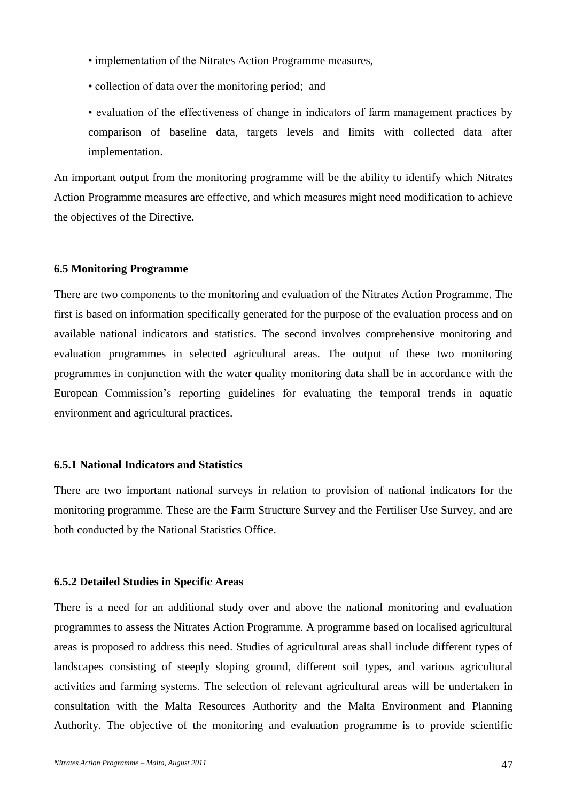- implementation of the Nitrates Action Programme measures,
- collection of data over the monitoring period; and
- evaluation of the effectiveness of change in indicators of farm management practices by comparison of baseline data, targets levels and limits with collected data after implementation.

An important output from the monitoring programme will be the ability to identify which Nitrates Action Programme measures are effective, and which measures might need modification to achieve the objectives of the Directive.

#### **6.5 Monitoring Programme**

There are two components to the monitoring and evaluation of the Nitrates Action Programme. The first is based on information specifically generated for the purpose of the evaluation process and on available national indicators and statistics. The second involves comprehensive monitoring and evaluation programmes in selected agricultural areas. The output of these two monitoring programmes in conjunction with the water quality monitoring data shall be in accordance with the European Commission's reporting guidelines for evaluating the temporal trends in aquatic environment and agricultural practices.

#### **6.5.1 National Indicators and Statistics**

There are two important national surveys in relation to provision of national indicators for the monitoring programme. These are the Farm Structure Survey and the Fertiliser Use Survey, and are both conducted by the National Statistics Office.

#### **6.5.2 Detailed Studies in Specific Areas**

There is a need for an additional study over and above the national monitoring and evaluation programmes to assess the Nitrates Action Programme. A programme based on localised agricultural areas is proposed to address this need. Studies of agricultural areas shall include different types of landscapes consisting of steeply sloping ground, different soil types, and various agricultural activities and farming systems. The selection of relevant agricultural areas will be undertaken in consultation with the Malta Resources Authority and the Malta Environment and Planning Authority. The objective of the monitoring and evaluation programme is to provide scientific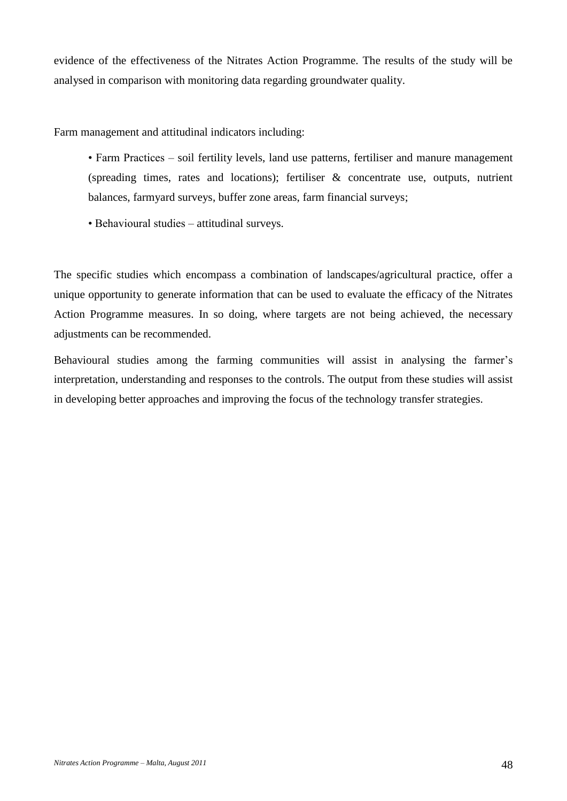evidence of the effectiveness of the Nitrates Action Programme. The results of the study will be analysed in comparison with monitoring data regarding groundwater quality.

Farm management and attitudinal indicators including:

- Farm Practices soil fertility levels, land use patterns, fertiliser and manure management (spreading times, rates and locations); fertiliser & concentrate use, outputs, nutrient balances, farmyard surveys, buffer zone areas, farm financial surveys;
- Behavioural studies attitudinal surveys.

The specific studies which encompass a combination of landscapes/agricultural practice, offer a unique opportunity to generate information that can be used to evaluate the efficacy of the Nitrates Action Programme measures. In so doing, where targets are not being achieved, the necessary adjustments can be recommended.

Behavioural studies among the farming communities will assist in analysing the farmer's interpretation, understanding and responses to the controls. The output from these studies will assist in developing better approaches and improving the focus of the technology transfer strategies.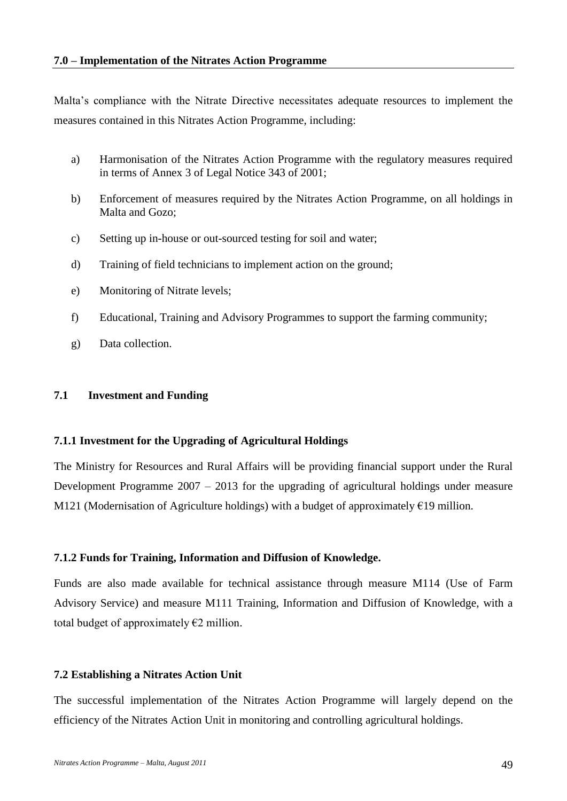Malta's compliance with the Nitrate Directive necessitates adequate resources to implement the measures contained in this Nitrates Action Programme, including:

- a) Harmonisation of the Nitrates Action Programme with the regulatory measures required in terms of Annex 3 of Legal Notice 343 of 2001;
- b) Enforcement of measures required by the Nitrates Action Programme, on all holdings in Malta and Gozo;
- c) Setting up in-house or out-sourced testing for soil and water;
- d) Training of field technicians to implement action on the ground;
- e) Monitoring of Nitrate levels;
- f) Educational, Training and Advisory Programmes to support the farming community;
- g) Data collection.

### **7.1 Investment and Funding**

### **7.1.1 Investment for the Upgrading of Agricultural Holdings**

The Ministry for Resources and Rural Affairs will be providing financial support under the Rural Development Programme 2007 – 2013 for the upgrading of agricultural holdings under measure M121 (Modernisation of Agriculture holdings) with a budget of approximately €19 million.

# **7.1.2 Funds for Training, Information and Diffusion of Knowledge.**

Funds are also made available for technical assistance through measure M114 (Use of Farm Advisory Service) and measure M111 Training, Information and Diffusion of Knowledge, with a total budget of approximately  $E2$  million.

### **7.2 Establishing a Nitrates Action Unit**

The successful implementation of the Nitrates Action Programme will largely depend on the efficiency of the Nitrates Action Unit in monitoring and controlling agricultural holdings.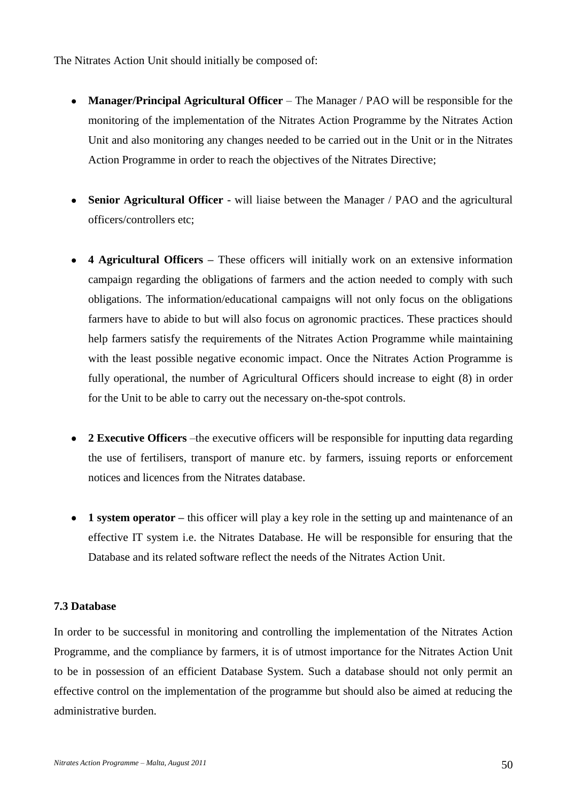The Nitrates Action Unit should initially be composed of:

- $\bullet$ **Manager/Principal Agricultural Officer** – The Manager / PAO will be responsible for the monitoring of the implementation of the Nitrates Action Programme by the Nitrates Action Unit and also monitoring any changes needed to be carried out in the Unit or in the Nitrates Action Programme in order to reach the objectives of the Nitrates Directive;
- **Senior Agricultural Officer** will liaise between the Manager / PAO and the agricultural  $\bullet$ officers/controllers etc;
- **4 Agricultural Officers –** These officers will initially work on an extensive information  $\bullet$ campaign regarding the obligations of farmers and the action needed to comply with such obligations. The information/educational campaigns will not only focus on the obligations farmers have to abide to but will also focus on agronomic practices. These practices should help farmers satisfy the requirements of the Nitrates Action Programme while maintaining with the least possible negative economic impact. Once the Nitrates Action Programme is fully operational, the number of Agricultural Officers should increase to eight (8) in order for the Unit to be able to carry out the necessary on-the-spot controls.
- **2 Executive Officers** –the executive officers will be responsible for inputting data regarding the use of fertilisers, transport of manure etc. by farmers, issuing reports or enforcement notices and licences from the Nitrates database.
- **1 system operator –** this officer will play a key role in the setting up and maintenance of an effective IT system i.e. the Nitrates Database. He will be responsible for ensuring that the Database and its related software reflect the needs of the Nitrates Action Unit.

### **7.3 Database**

In order to be successful in monitoring and controlling the implementation of the Nitrates Action Programme, and the compliance by farmers, it is of utmost importance for the Nitrates Action Unit to be in possession of an efficient Database System. Such a database should not only permit an effective control on the implementation of the programme but should also be aimed at reducing the administrative burden.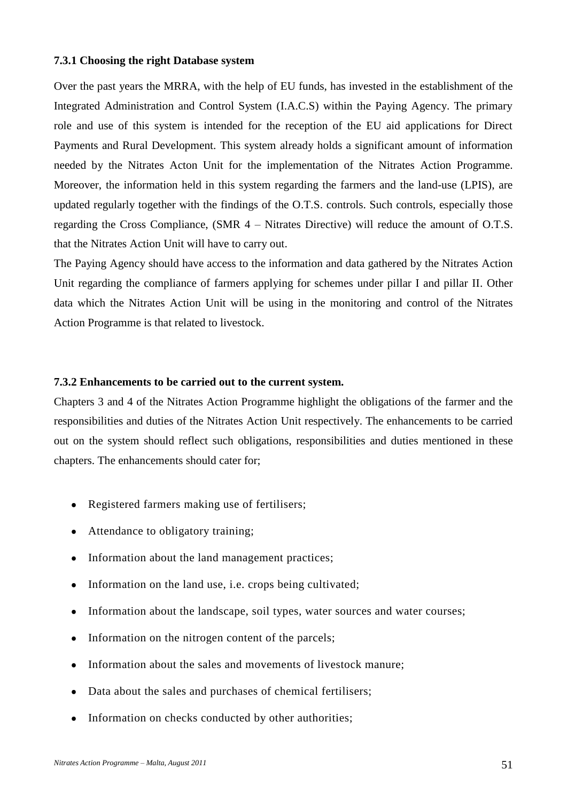#### **7.3.1 Choosing the right Database system**

Over the past years the MRRA, with the help of EU funds, has invested in the establishment of the Integrated Administration and Control System (I.A.C.S) within the Paying Agency. The primary role and use of this system is intended for the reception of the EU aid applications for Direct Payments and Rural Development. This system already holds a significant amount of information needed by the Nitrates Acton Unit for the implementation of the Nitrates Action Programme. Moreover, the information held in this system regarding the farmers and the land-use (LPIS), are updated regularly together with the findings of the O.T.S. controls. Such controls, especially those regarding the Cross Compliance, (SMR 4 – Nitrates Directive) will reduce the amount of O.T.S. that the Nitrates Action Unit will have to carry out.

The Paying Agency should have access to the information and data gathered by the Nitrates Action Unit regarding the compliance of farmers applying for schemes under pillar I and pillar II. Other data which the Nitrates Action Unit will be using in the monitoring and control of the Nitrates Action Programme is that related to livestock.

#### **7.3.2 Enhancements to be carried out to the current system.**

Chapters 3 and 4 of the Nitrates Action Programme highlight the obligations of the farmer and the responsibilities and duties of the Nitrates Action Unit respectively. The enhancements to be carried out on the system should reflect such obligations, responsibilities and duties mentioned in these chapters. The enhancements should cater for;

- Registered farmers making use of fertilisers;  $\bullet$
- Attendance to obligatory training;
- Information about the land management practices;
- Information on the land use, i.e. crops being cultivated;  $\bullet$
- Information about the landscape, soil types, water sources and water courses;
- Information on the nitrogen content of the parcels;  $\bullet$
- Information about the sales and movements of livestock manure;
- Data about the sales and purchases of chemical fertilisers;  $\bullet$
- Information on checks conducted by other authorities;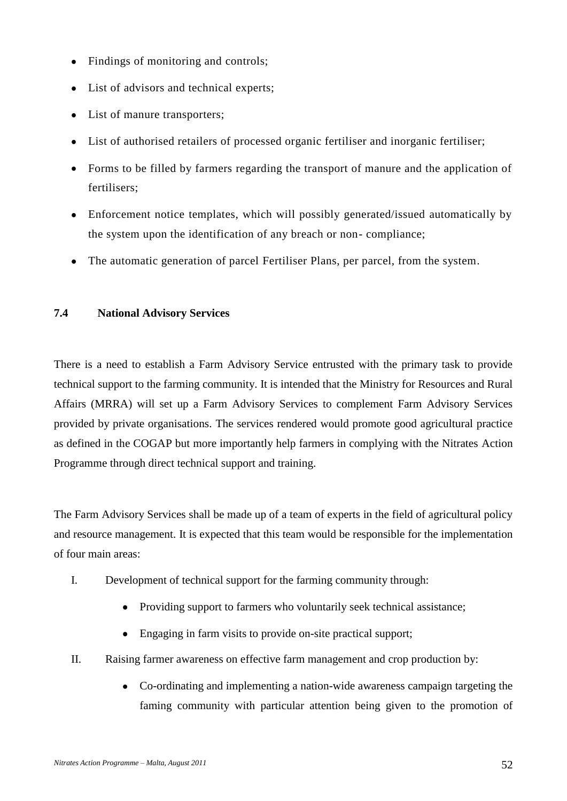- Findings of monitoring and controls;  $\bullet$
- List of advisors and technical experts;  $\bullet$
- List of manure transporters;  $\bullet$
- List of authorised retailers of processed organic fertiliser and inorganic fertiliser;  $\bullet$
- Forms to be filled by farmers regarding the transport of manure and the application of  $\bullet$ fertilisers;
- Enforcement notice templates, which will possibly generated/issued automatically by  $\bullet$ the system upon the identification of any breach or non- compliance;
- The automatic generation of parcel Fertiliser Plans, per parcel, from the system.

# **7.4 National Advisory Services**

There is a need to establish a Farm Advisory Service entrusted with the primary task to provide technical support to the farming community. It is intended that the Ministry for Resources and Rural Affairs (MRRA) will set up a Farm Advisory Services to complement Farm Advisory Services provided by private organisations. The services rendered would promote good agricultural practice as defined in the COGAP but more importantly help farmers in complying with the Nitrates Action Programme through direct technical support and training.

The Farm Advisory Services shall be made up of a team of experts in the field of agricultural policy and resource management. It is expected that this team would be responsible for the implementation of four main areas:

- I. Development of technical support for the farming community through:
	- $\bullet$ Providing support to farmers who voluntarily seek technical assistance;
	- Engaging in farm visits to provide on-site practical support;
- II. Raising farmer awareness on effective farm management and crop production by:
	- Co-ordinating and implementing a nation-wide awareness campaign targeting the faming community with particular attention being given to the promotion of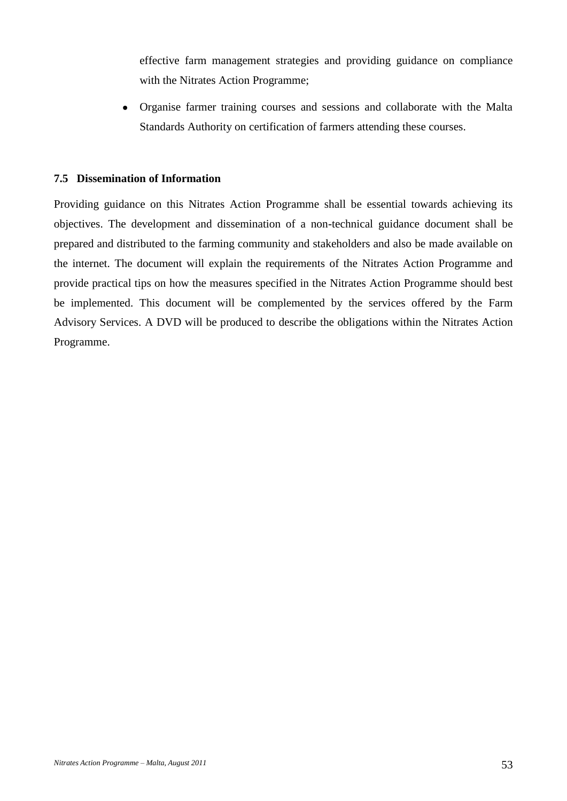effective farm management strategies and providing guidance on compliance with the Nitrates Action Programme;

Organise farmer training courses and sessions and collaborate with the Malta Standards Authority on certification of farmers attending these courses.

### **7.5 Dissemination of Information**

Providing guidance on this Nitrates Action Programme shall be essential towards achieving its objectives. The development and dissemination of a non-technical guidance document shall be prepared and distributed to the farming community and stakeholders and also be made available on the internet. The document will explain the requirements of the Nitrates Action Programme and provide practical tips on how the measures specified in the Nitrates Action Programme should best be implemented. This document will be complemented by the services offered by the Farm Advisory Services. A DVD will be produced to describe the obligations within the Nitrates Action Programme.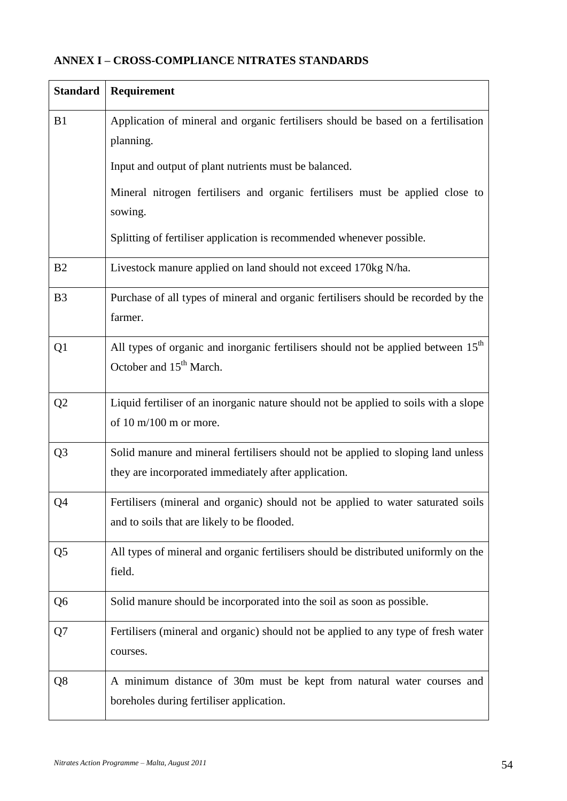| <b>Standard</b> | Requirement                                                                                                                               |
|-----------------|-------------------------------------------------------------------------------------------------------------------------------------------|
| B1              | Application of mineral and organic fertilisers should be based on a fertilisation<br>planning.                                            |
|                 | Input and output of plant nutrients must be balanced.                                                                                     |
|                 | Mineral nitrogen fertilisers and organic fertilisers must be applied close to<br>sowing.                                                  |
|                 | Splitting of fertiliser application is recommended whenever possible.                                                                     |
| B2              | Livestock manure applied on land should not exceed 170kg N/ha.                                                                            |
| B <sub>3</sub>  | Purchase of all types of mineral and organic fertilisers should be recorded by the<br>farmer.                                             |
| Q <sub>1</sub>  | All types of organic and inorganic fertilisers should not be applied between 15 <sup>th</sup><br>October and 15 <sup>th</sup> March.      |
| Q2              | Liquid fertiliser of an inorganic nature should not be applied to soils with a slope<br>of $10 \text{ m}/100 \text{ m}$ or more.          |
| Q <sub>3</sub>  | Solid manure and mineral fertilisers should not be applied to sloping land unless<br>they are incorporated immediately after application. |
| Q4              | Fertilisers (mineral and organic) should not be applied to water saturated soils<br>and to soils that are likely to be flooded.           |
| Q5              | All types of mineral and organic fertilisers should be distributed uniformly on the<br>field.                                             |
| Q6              | Solid manure should be incorporated into the soil as soon as possible.                                                                    |
| Q7              | Fertilisers (mineral and organic) should not be applied to any type of fresh water<br>courses.                                            |
| Q8              | A minimum distance of 30m must be kept from natural water courses and<br>boreholes during fertiliser application.                         |

# **ANNEX I – CROSS-COMPLIANCE NITRATES STANDARDS**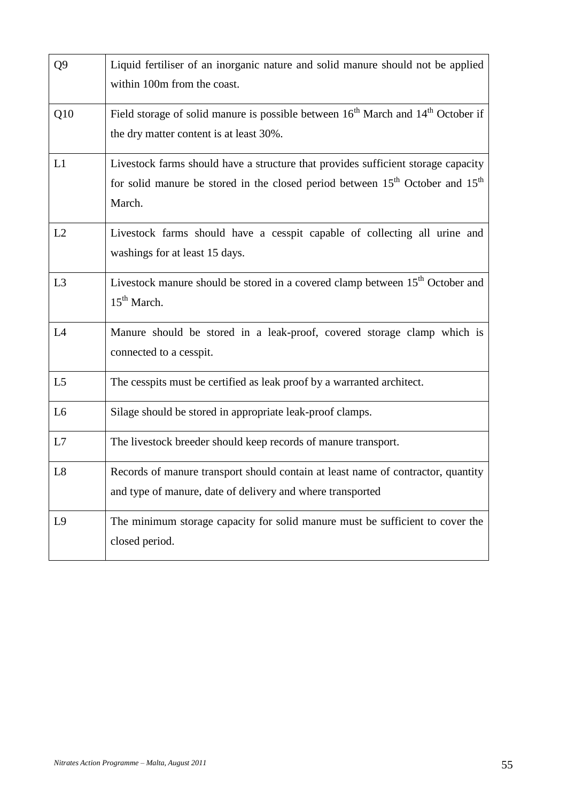| Q <sub>9</sub> | Liquid fertiliser of an inorganic nature and solid manure should not be applied<br>within 100m from the coast.                                                                                       |
|----------------|------------------------------------------------------------------------------------------------------------------------------------------------------------------------------------------------------|
| Q10            | Field storage of solid manure is possible between 16 <sup>th</sup> March and 14 <sup>th</sup> October if<br>the dry matter content is at least 30%.                                                  |
| L1             | Livestock farms should have a structure that provides sufficient storage capacity<br>for solid manure be stored in the closed period between 15 <sup>th</sup> October and 15 <sup>th</sup><br>March. |
| L2             | Livestock farms should have a cesspit capable of collecting all urine and<br>washings for at least 15 days.                                                                                          |
| L <sub>3</sub> | Livestock manure should be stored in a covered clamp between 15 <sup>th</sup> October and<br>$15th$ March.                                                                                           |
| L4             | Manure should be stored in a leak-proof, covered storage clamp which is<br>connected to a cesspit.                                                                                                   |
| L <sub>5</sub> | The cesspits must be certified as leak proof by a warranted architect.                                                                                                                               |
| L <sub>6</sub> | Silage should be stored in appropriate leak-proof clamps.                                                                                                                                            |
| L7             | The livestock breeder should keep records of manure transport.                                                                                                                                       |
| L8             | Records of manure transport should contain at least name of contractor, quantity<br>and type of manure, date of delivery and where transported                                                       |
| L <sub>9</sub> | The minimum storage capacity for solid manure must be sufficient to cover the<br>closed period.                                                                                                      |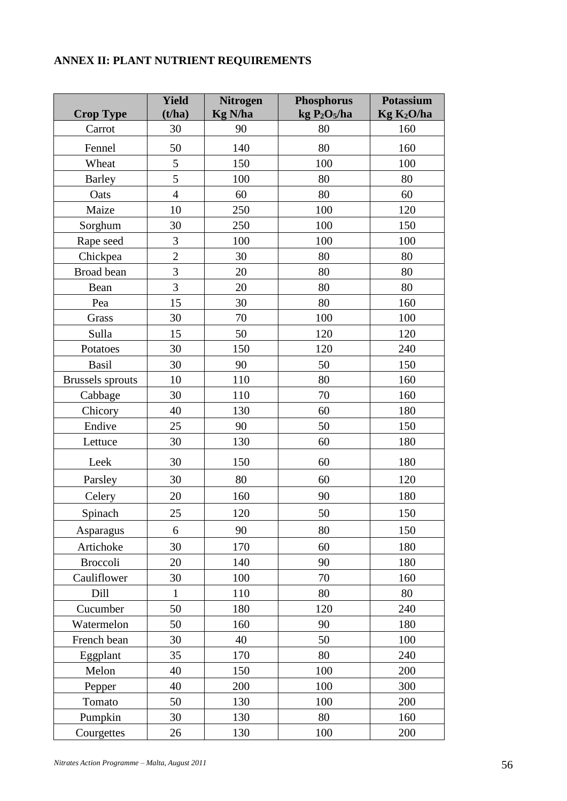# **ANNEX II: PLANT NUTRIENT REQUIREMENTS**

| <b>Crop Type</b>        | <b>Yield</b><br>(t/ha) | <b>Nitrogen</b><br><b>Kg N/ha</b> | <b>Phosphorus</b><br>kg $P_2O_5/ha$ | <b>Potassium</b><br>Kg K <sub>2</sub> O/ha |
|-------------------------|------------------------|-----------------------------------|-------------------------------------|--------------------------------------------|
| Carrot                  | 30                     | 90                                | 80                                  | 160                                        |
| Fennel                  | 50                     | 140                               | 80                                  | 160                                        |
| Wheat                   | 5                      | 150                               | 100                                 | 100                                        |
| Barley                  | 5                      | 100                               | 80                                  | 80                                         |
| Oats                    | $\overline{4}$         | 60                                | 80                                  | 60                                         |
| Maize                   | 10                     | 250                               | 100                                 | 120                                        |
| Sorghum                 | 30                     | 250                               | 100                                 | 150                                        |
| Rape seed               | 3                      | 100                               | 100                                 | 100                                        |
| Chickpea                | $\overline{2}$         | 30                                | 80                                  | 80                                         |
| Broad bean              | 3                      | 20                                | 80                                  | 80                                         |
| Bean                    | 3                      | 20                                | 80                                  | 80                                         |
| Pea                     | 15                     | 30                                | 80                                  | 160                                        |
| Grass                   | 30                     | 70                                | 100                                 | 100                                        |
| Sulla                   | 15                     | 50                                | 120                                 | 120                                        |
| Potatoes                | 30                     | 150                               | 120                                 | 240                                        |
| <b>Basil</b>            | 30                     | 90                                | 50                                  | 150                                        |
| <b>Brussels</b> sprouts | 10                     | 110                               | 80                                  | 160                                        |
| Cabbage                 | 30                     | 110                               | 70                                  | 160                                        |
| Chicory                 | 40                     | 130                               | 60                                  | 180                                        |
| Endive                  | 25                     | 90                                | 50                                  | 150                                        |
| Lettuce                 | 30                     | 130                               | 60                                  | 180                                        |
| Leek                    | 30                     | 150                               | 60                                  | 180                                        |
| Parsley                 | 30                     | 80                                | 60                                  | 120                                        |
| Celery                  | 20                     | 160                               | 90                                  | 180                                        |
| Spinach                 | 25                     | 120                               | 50                                  | 150                                        |
| Asparagus               | 6                      | 90                                | 80                                  | 150                                        |
| Artichoke               | 30                     | 170                               | 60                                  | 180                                        |
| <b>Broccoli</b>         | 20                     | 140                               | 90                                  | 180                                        |
| Cauliflower             | 30                     | 100                               | 70                                  | 160                                        |
| Dill                    | $\mathbf{1}$           | 110                               | 80                                  | 80                                         |
| Cucumber                | 50                     | 180                               | 120                                 | 240                                        |
| Watermelon              | 50                     | 160                               | 90                                  | 180                                        |
| French bean             | 30                     | 40                                | 50                                  | 100                                        |
| Eggplant                | 35                     | 170                               | 80                                  | 240                                        |
| Melon                   | 40                     | 150                               | 100                                 | 200                                        |
| Pepper                  | 40                     | 200                               | 100                                 | 300                                        |
| Tomato                  | 50                     | 130                               | 100                                 | 200                                        |
| Pumpkin                 | 30                     | 130                               | 80                                  | 160                                        |
| Courgettes              | 26                     | 130                               | 100                                 | 200                                        |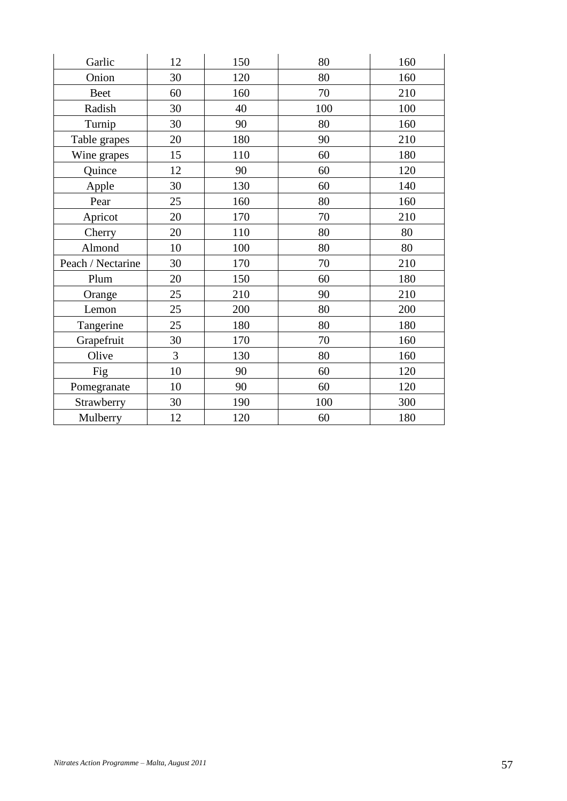| Garlic            | 12 | 150 | 80  | 160 |
|-------------------|----|-----|-----|-----|
| Onion             | 30 | 120 | 80  | 160 |
| <b>Beet</b>       | 60 | 160 | 70  | 210 |
| Radish            | 30 | 40  | 100 | 100 |
| Turnip            | 30 | 90  | 80  | 160 |
| Table grapes      | 20 | 180 | 90  | 210 |
| Wine grapes       | 15 | 110 | 60  | 180 |
| Quince            | 12 | 90  | 60  | 120 |
| Apple             | 30 | 130 | 60  | 140 |
| Pear              | 25 | 160 | 80  | 160 |
| Apricot           | 20 | 170 | 70  | 210 |
| Cherry            | 20 | 110 | 80  | 80  |
| Almond            | 10 | 100 | 80  | 80  |
| Peach / Nectarine | 30 | 170 | 70  | 210 |
| Plum              | 20 | 150 | 60  | 180 |
| Orange            | 25 | 210 | 90  | 210 |
| Lemon             | 25 | 200 | 80  | 200 |
| Tangerine         | 25 | 180 | 80  | 180 |
| Grapefruit        | 30 | 170 | 70  | 160 |
| Olive             | 3  | 130 | 80  | 160 |
| Fig               | 10 | 90  | 60  | 120 |
| Pomegranate       | 10 | 90  | 60  | 120 |
| Strawberry        | 30 | 190 | 100 | 300 |
| Mulberry          | 12 | 120 | 60  | 180 |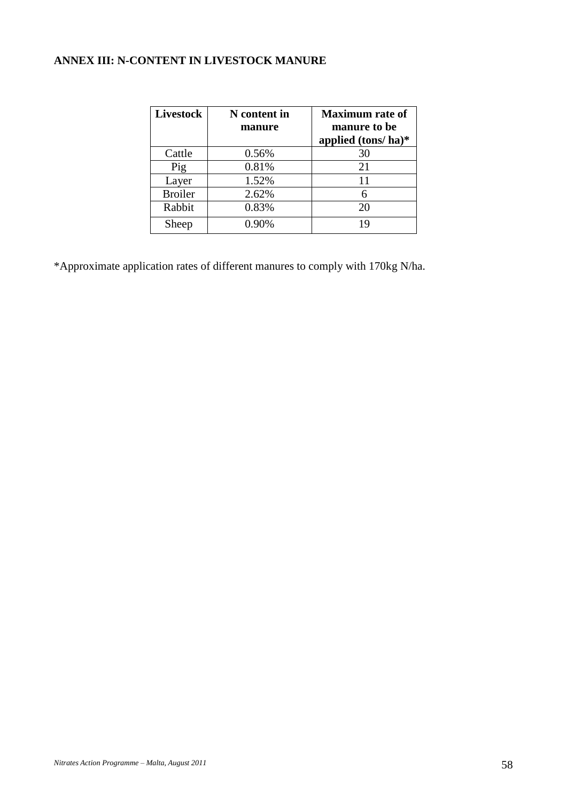# **ANNEX III: N-CONTENT IN LIVESTOCK MANURE**

| Livestock      | N content in<br>manure | <b>Maximum</b> rate of<br>manure to be<br>applied $(tons/ha)^*$ |
|----------------|------------------------|-----------------------------------------------------------------|
| Cattle         | 0.56%                  | 30                                                              |
| Pig            | 0.81%                  | 21                                                              |
| Layer          | 1.52%                  | 11                                                              |
| <b>Broiler</b> | 2.62%                  | 6                                                               |
| Rabbit         | 0.83%                  | 20                                                              |
| Sheep          | $0.90\%$               | 19                                                              |

\*Approximate application rates of different manures to comply with 170kg N/ha.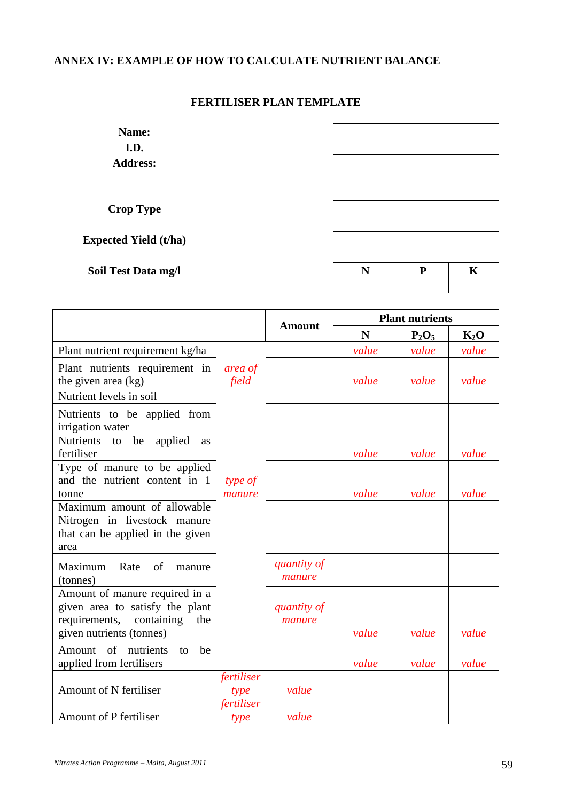# **ANNEX IV: EXAMPLE OF HOW TO CALCULATE NUTRIENT BALANCE**

# **FERTILISER PLAN TEMPLATE**

**Name: I.D. Address:**

**Crop Type**

**Expected Yield (t/ha)**

**Soil Test Data mg/l** 

|                                                               |                    | <b>Amount</b>         |       | <b>Plant nutrients</b> |        |
|---------------------------------------------------------------|--------------------|-----------------------|-------|------------------------|--------|
|                                                               |                    |                       | N     | $P_2O_5$               | $K_2O$ |
| Plant nutrient requirement kg/ha                              |                    |                       | value | value                  | value  |
| Plant nutrients requirement in                                | area of            |                       |       |                        |        |
| the given area (kg)                                           | field              |                       | value | value                  | value  |
| Nutrient levels in soil                                       |                    |                       |       |                        |        |
| Nutrients to be applied from<br>irrigation water              |                    |                       |       |                        |        |
| Nutrients to<br>be<br>applied<br><b>as</b>                    |                    |                       |       |                        |        |
| fertiliser                                                    |                    |                       | value | value                  | value  |
| Type of manure to be applied<br>and the nutrient content in 1 | type of            |                       |       |                        |        |
| tonne                                                         | manure             |                       | value | value                  | value  |
| Maximum amount of allowable<br>Nitrogen in livestock manure   |                    |                       |       |                        |        |
| that can be applied in the given                              |                    |                       |       |                        |        |
| area                                                          |                    |                       |       |                        |        |
| Maximum Rate<br>of<br>manure<br>(tonnes)                      |                    | quantity of<br>manure |       |                        |        |
| Amount of manure required in a                                |                    |                       |       |                        |        |
| given area to satisfy the plant                               |                    | quantity of           |       |                        |        |
| requirements, containing<br>the                               |                    | manure                |       |                        |        |
| given nutrients (tonnes)                                      |                    |                       | value | value                  | value  |
| Amount of nutrients<br>be<br>to                               |                    |                       |       |                        |        |
| applied from fertilisers                                      |                    |                       | value | value                  | value  |
| Amount of N fertiliser                                        | fertiliser<br>type | value                 |       |                        |        |
|                                                               | fertiliser         |                       |       |                        |        |
| Amount of P fertiliser                                        | type               | value                 |       |                        |        |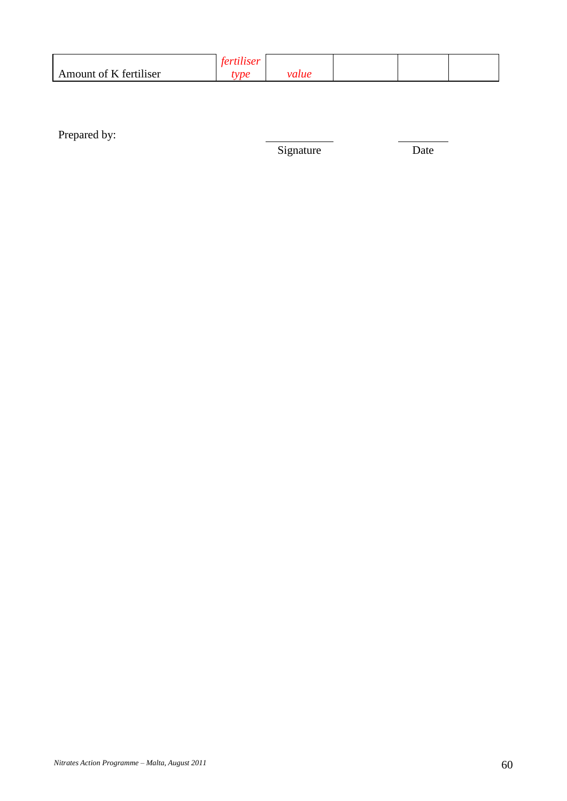|                                             | oс |     |  |  |
|---------------------------------------------|----|-----|--|--|
| .<br>$\sim -1$<br>Amount of K<br>tertiliser | me | лие |  |  |

Prepared by:

Signature Date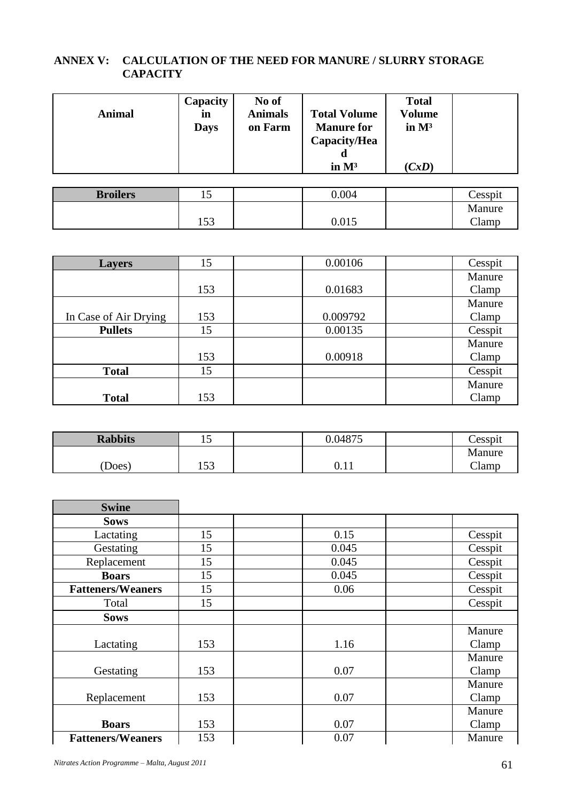# **ANNEX V: CALCULATION OF THE NEED FOR MANURE / SLURRY STORAGE CAPACITY**

| <b>Animal</b> | Capacity<br>in<br><b>Days</b> | No of<br><b>Animals</b><br>on Farm | <b>Total Volume</b><br><b>Manure for</b><br>Capacity/Hea | <b>Total</b><br>Volume<br>in $M^3$ |  |
|---------------|-------------------------------|------------------------------------|----------------------------------------------------------|------------------------------------|--|
|               |                               |                                    | α<br>in $M^3$                                            | (CxD)                              |  |

| <b>Broilers</b> |              | 0.004 | Cesspit |
|-----------------|--------------|-------|---------|
|                 |              |       | Manure  |
|                 | 152<br>1 J J | 0.015 | Clamp   |

| <b>Layers</b>         | 15  | 0.00106  | Cesspit |
|-----------------------|-----|----------|---------|
|                       |     |          | Manure  |
|                       | 153 | 0.01683  | Clamp   |
|                       |     |          | Manure  |
| In Case of Air Drying | 153 | 0.009792 | Clamp   |
| <b>Pullets</b>        | 15  | 0.00135  | Cesspit |
|                       |     |          | Manure  |
|                       | 153 | 0.00918  | Clamp   |
| <b>Total</b>          | 15  |          | Cesspit |
|                       |     |          | Manure  |
| <b>Total</b>          | 153 |          | Clamp   |

| <b>Rabbits</b> |              | 0.04875      | Cesspit |
|----------------|--------------|--------------|---------|
|                |              |              | Manure  |
| (Does)         | 152<br>1 J J | 111<br>v. 11 | Clamp   |

| <b>Swine</b>             |     |       |         |
|--------------------------|-----|-------|---------|
| <b>Sows</b>              |     |       |         |
| Lactating                | 15  | 0.15  | Cesspit |
| Gestating                | 15  | 0.045 | Cesspit |
| Replacement              | 15  | 0.045 | Cesspit |
| <b>Boars</b>             | 15  | 0.045 | Cesspit |
| <b>Fatteners/Weaners</b> | 15  | 0.06  | Cesspit |
| Total                    | 15  |       | Cesspit |
| <b>Sows</b>              |     |       |         |
|                          |     |       | Manure  |
| Lactating                | 153 | 1.16  | Clamp   |
|                          |     |       | Manure  |
| Gestating                | 153 | 0.07  | Clamp   |
|                          |     |       | Manure  |
| Replacement              | 153 | 0.07  | Clamp   |
|                          |     |       | Manure  |
| <b>Boars</b>             | 153 | 0.07  | Clamp   |
| <b>Fatteners/Weaners</b> | 153 | 0.07  | Manure  |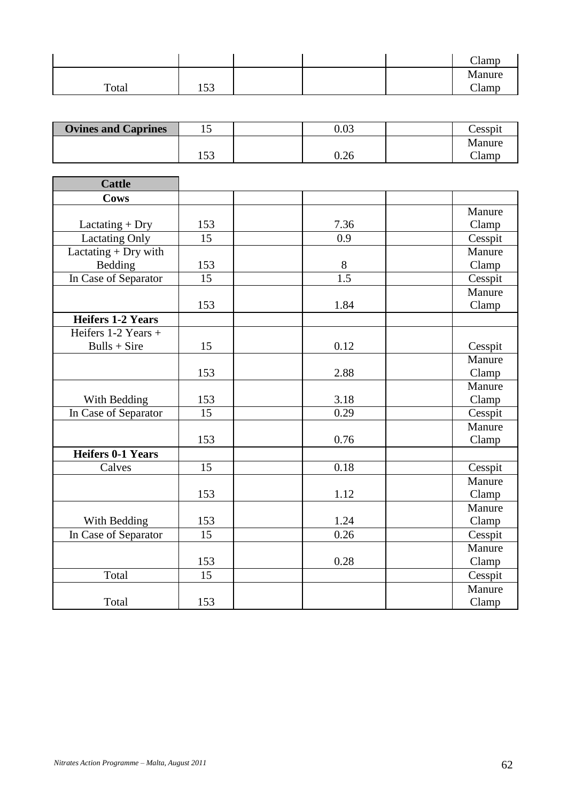|       |              |  | <b>CIT</b><br>$\mathsf{L}$ amp |
|-------|--------------|--|--------------------------------|
|       |              |  | Manure                         |
| Total | 152<br>1 J J |  | Clamp                          |

| <b>Ovines and Caprines</b> |             | $0.03\,$ | Cesspit |
|----------------------------|-------------|----------|---------|
|                            |             |          | Manure  |
|                            | 52<br>1 J J | $0.26\,$ | lamı'   |

| <b>Cattle</b>            |     |      |         |
|--------------------------|-----|------|---------|
| <b>Cows</b>              |     |      |         |
|                          |     |      | Manure  |
| $Lactating + Dry$        | 153 | 7.36 | Clamp   |
| <b>Lactating Only</b>    | 15  | 0.9  | Cesspit |
| Lactating $+$ Dry with   |     |      | Manure  |
| Bedding                  | 153 | 8    | Clamp   |
| In Case of Separator     | 15  | 1.5  | Cesspit |
|                          |     |      | Manure  |
|                          | 153 | 1.84 | Clamp   |
| <b>Heifers 1-2 Years</b> |     |      |         |
| Heifers 1-2 Years +      |     |      |         |
| $Bulls + Sire$           | 15  | 0.12 | Cesspit |
|                          |     |      | Manure  |
|                          | 153 | 2.88 | Clamp   |
|                          |     |      | Manure  |
| With Bedding             | 153 | 3.18 | Clamp   |
| In Case of Separator     | 15  | 0.29 | Cesspit |
|                          |     |      | Manure  |
|                          | 153 | 0.76 | Clamp   |
| <b>Heifers 0-1 Years</b> |     |      |         |
| Calves                   | 15  | 0.18 | Cesspit |
|                          |     |      | Manure  |
|                          | 153 | 1.12 | Clamp   |
|                          |     |      | Manure  |
| With Bedding             | 153 | 1.24 | Clamp   |
| In Case of Separator     | 15  | 0.26 | Cesspit |
|                          |     |      | Manure  |
|                          | 153 | 0.28 | Clamp   |
| Total                    | 15  |      | Cesspit |
|                          |     |      | Manure  |
| Total                    | 153 |      | Clamp   |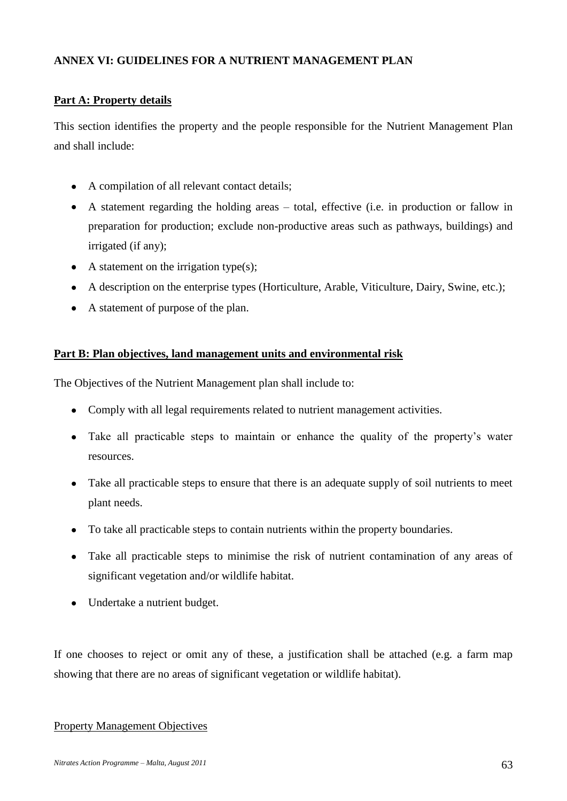# **ANNEX VI: GUIDELINES FOR A NUTRIENT MANAGEMENT PLAN**

# **Part A: Property details**

This section identifies the property and the people responsible for the Nutrient Management Plan and shall include:

- A compilation of all relevant contact details;
- A statement regarding the holding areas total, effective (i.e. in production or fallow in preparation for production; exclude non-productive areas such as pathways, buildings) and irrigated (if any);
- $\bullet$  A statement on the irrigation type(s);
- A description on the enterprise types (Horticulture, Arable, Viticulture, Dairy, Swine, etc.);
- A statement of purpose of the plan.

# **Part B: Plan objectives, land management units and environmental risk**

The Objectives of the Nutrient Management plan shall include to:

- Comply with all legal requirements related to nutrient management activities.
- Take all practicable steps to maintain or enhance the quality of the property's water resources.
- Take all practicable steps to ensure that there is an adequate supply of soil nutrients to meet plant needs.
- To take all practicable steps to contain nutrients within the property boundaries.
- Take all practicable steps to minimise the risk of nutrient contamination of any areas of significant vegetation and/or wildlife habitat.
- Undertake a nutrient budget.

If one chooses to reject or omit any of these, a justification shall be attached (e.g. a farm map showing that there are no areas of significant vegetation or wildlife habitat).

### Property Management Objectives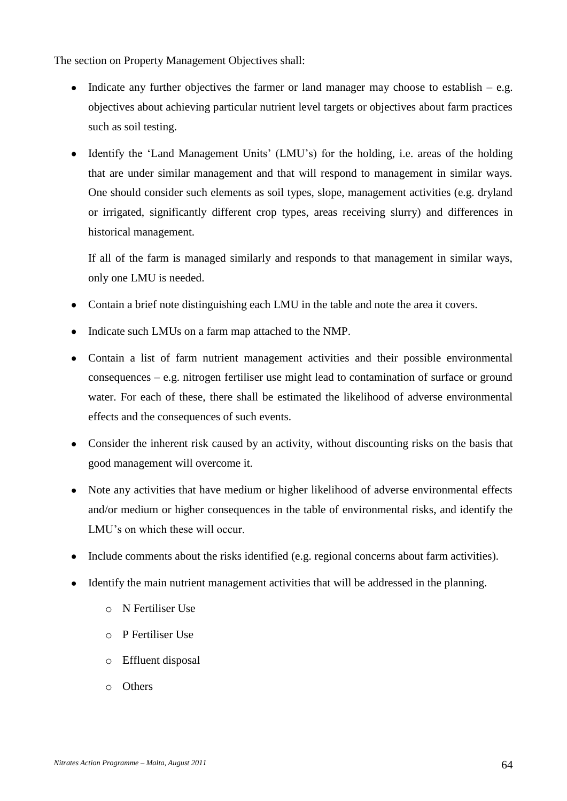The section on Property Management Objectives shall:

- $\bullet$ Indicate any further objectives the farmer or land manager may choose to establish  $-$  e.g. objectives about achieving particular nutrient level targets or objectives about farm practices such as soil testing.
- Identify the 'Land Management Units' (LMU's) for the holding, i.e. areas of the holding that are under similar management and that will respond to management in similar ways. One should consider such elements as soil types, slope, management activities (e.g. dryland or irrigated, significantly different crop types, areas receiving slurry) and differences in historical management.

If all of the farm is managed similarly and responds to that management in similar ways, only one LMU is needed.

- Contain a brief note distinguishing each LMU in the table and note the area it covers.  $\bullet$
- Indicate such LMUs on a farm map attached to the NMP.
- Contain a list of farm nutrient management activities and their possible environmental  $\bullet$ consequences – e.g. nitrogen fertiliser use might lead to contamination of surface or ground water. For each of these, there shall be estimated the likelihood of adverse environmental effects and the consequences of such events.
- Consider the inherent risk caused by an activity, without discounting risks on the basis that good management will overcome it.
- Note any activities that have medium or higher likelihood of adverse environmental effects and/or medium or higher consequences in the table of environmental risks, and identify the LMU's on which these will occur.
- Include comments about the risks identified (e.g. regional concerns about farm activities).
- $\bullet$ Identify the main nutrient management activities that will be addressed in the planning.
	- o N Fertiliser Use
	- o P Fertiliser Use
	- o Effluent disposal
	- o Others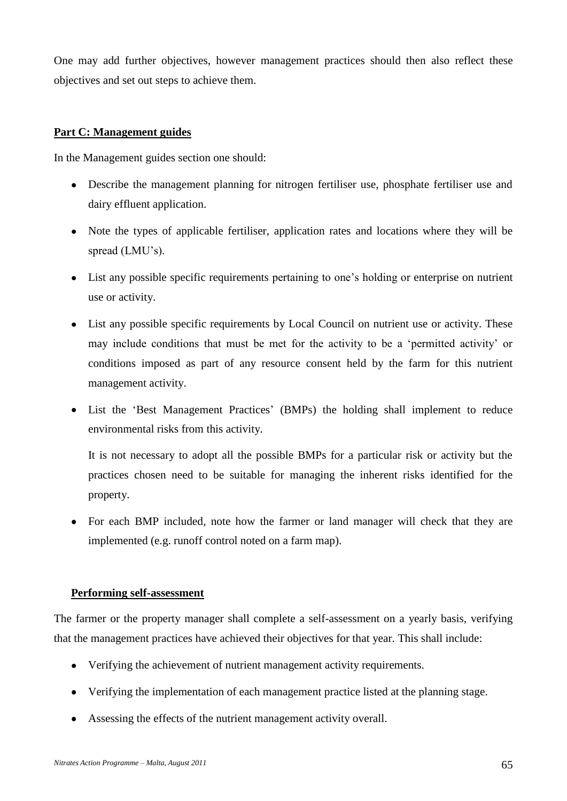One may add further objectives, however management practices should then also reflect these objectives and set out steps to achieve them.

## **Part C: Management guides**

In the Management guides section one should:

- Describe the management planning for nitrogen fertiliser use, phosphate fertiliser use and dairy effluent application.
- Note the types of applicable fertiliser, application rates and locations where they will be spread (LMU's).
- List any possible specific requirements pertaining to one's holding or enterprise on nutrient use or activity.
- List any possible specific requirements by Local Council on nutrient use or activity. These may include conditions that must be met for the activity to be a 'permitted activity' or conditions imposed as part of any resource consent held by the farm for this nutrient management activity.
- List the 'Best Management Practices' (BMPs) the holding shall implement to reduce environmental risks from this activity.

It is not necessary to adopt all the possible BMPs for a particular risk or activity but the practices chosen need to be suitable for managing the inherent risks identified for the property.

For each BMP included, note how the farmer or land manager will check that they are implemented (e.g. runoff control noted on a farm map).

### **Performing self-assessment**

The farmer or the property manager shall complete a self-assessment on a yearly basis, verifying that the management practices have achieved their objectives for that year. This shall include:

- $\bullet$ Verifying the achievement of nutrient management activity requirements.
- Verifying the implementation of each management practice listed at the planning stage.  $\bullet$
- Assessing the effects of the nutrient management activity overall.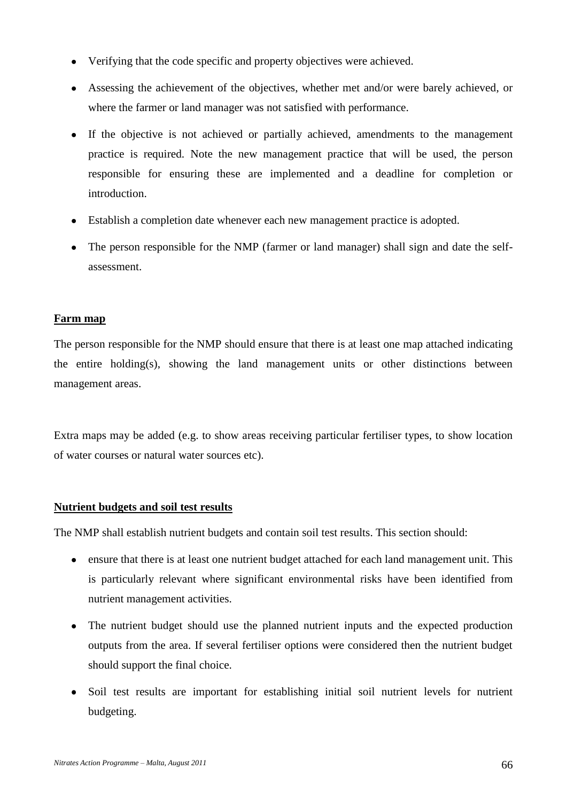- Verifying that the code specific and property objectives were achieved.  $\bullet$
- Assessing the achievement of the objectives, whether met and/or were barely achieved, or where the farmer or land manager was not satisfied with performance.
- $\bullet$ If the objective is not achieved or partially achieved, amendments to the management practice is required. Note the new management practice that will be used, the person responsible for ensuring these are implemented and a deadline for completion or introduction.
- Establish a completion date whenever each new management practice is adopted.  $\bullet$
- The person responsible for the NMP (farmer or land manager) shall sign and date the selfassessment.

### **Farm map**

The person responsible for the NMP should ensure that there is at least one map attached indicating the entire holding(s), showing the land management units or other distinctions between management areas.

Extra maps may be added (e.g. to show areas receiving particular fertiliser types, to show location of water courses or natural water sources etc).

# **Nutrient budgets and soil test results**

The NMP shall establish nutrient budgets and contain soil test results. This section should:

- ensure that there is at least one nutrient budget attached for each land management unit. This is particularly relevant where significant environmental risks have been identified from nutrient management activities.
- The nutrient budget should use the planned nutrient inputs and the expected production  $\bullet$ outputs from the area. If several fertiliser options were considered then the nutrient budget should support the final choice.
- Soil test results are important for establishing initial soil nutrient levels for nutrient  $\bullet$ budgeting.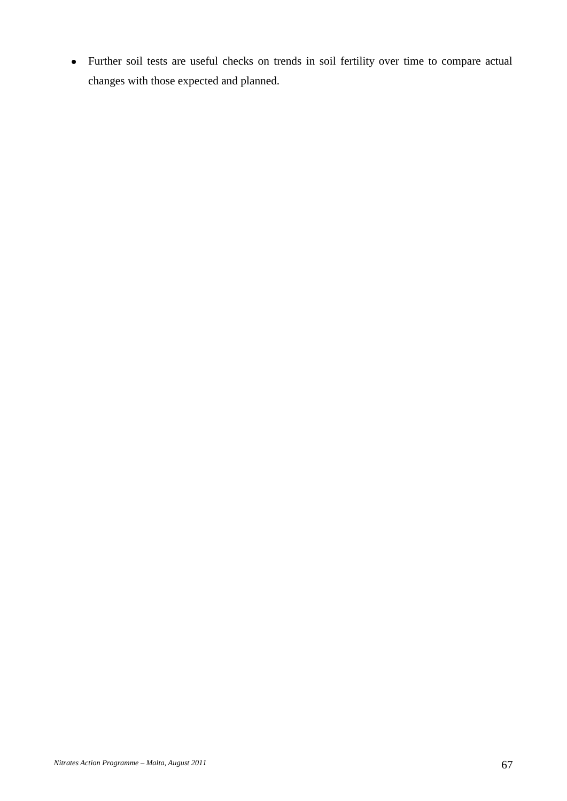Further soil tests are useful checks on trends in soil fertility over time to compare actual  $\bullet$ changes with those expected and planned.